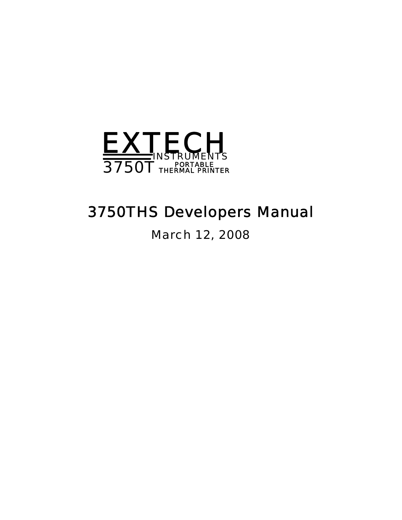<span id="page-0-0"></span>

# *3750THS Developers Manual*

March 12, 2008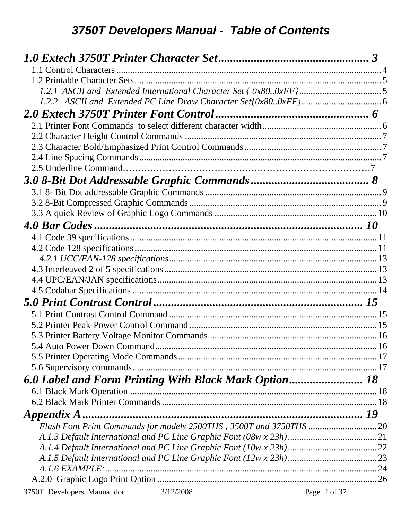| $A.1.6$ EXAMPLE:                         |              |
|------------------------------------------|--------------|
|                                          |              |
| 3750T_Developers_Manual.doc<br>3/12/2008 | Page 2 of 37 |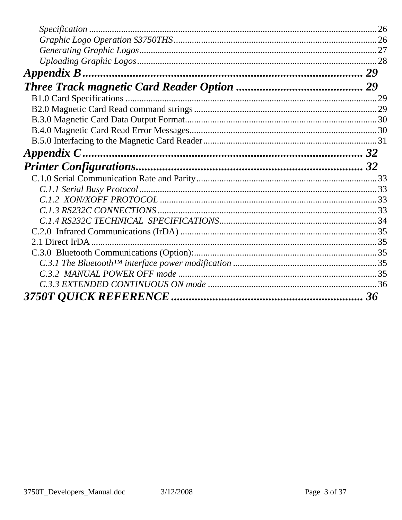<span id="page-2-1"></span><span id="page-2-0"></span>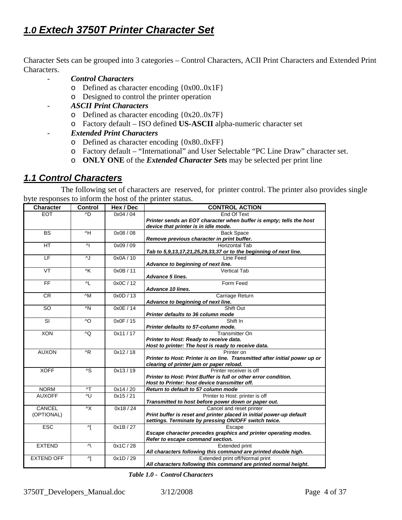# <span id="page-3-0"></span>*1.0 Extech 3750T Printer Character Set*

Character Sets can be grouped into 3 categories – Control Characters, ACII Print Characters and Extended Print Characters.

- *Control Characters* 
	- o Defined as character encoding {0x00..0x1F}
	- o Designed to control the printer operation
- *ASCII Print Characters* 
	- o Defined as character encoding {0x20..0x7F}
	- o Factory default ISO defined **US-ASCII** alpha-numeric character set
	- *Extended Print Characters* 
		- o Defined as character encoding {0x80..0xFF}
		- o Factory default "International" and User Selectable "PC Line Draw" character set.
		- o **ONLY ONE** of the *Extended Character Sets* may be selected per print line

#### <span id="page-3-1"></span>*1.1 Control Characters*

 The following set of characters are reserved, for printer control. The printer also provides single byte responses to inform the host of the printer status.

| <b>Character</b>         | <b>Control</b>          | Hex / Dec | <b>CONTROL ACTION</b>                                                                                       |  |
|--------------------------|-------------------------|-----------|-------------------------------------------------------------------------------------------------------------|--|
| <b>EOT</b>               | ^D                      | 0x04/04   | End Of Text                                                                                                 |  |
|                          |                         |           | Printer sends an EOT character when buffer is empty; tells the host<br>device that printer is in idle mode. |  |
| <b>BS</b>                | $\overline{H}$          | 0x08/08   | <b>Back Space</b>                                                                                           |  |
|                          |                         |           | Remove previous character in print buffer.                                                                  |  |
| HT                       | 시                       | 0x09 / 09 | <b>Horizontal Tab</b>                                                                                       |  |
|                          |                         |           | Tab to 5,9,13,17,21,25,29,33,37 or to the beginning of next line.                                           |  |
| $\overline{\mathsf{LF}}$ | ٨J                      | 0x0A/10   | Line Feed                                                                                                   |  |
|                          |                         |           | Advance to beginning of next line.                                                                          |  |
| VT                       | $\overline{\wedge}$ K   | 0x0B / 11 | <b>Vertical Tab</b>                                                                                         |  |
|                          |                         |           | Advance 5 lines.                                                                                            |  |
| FF                       | $\overline{L}$          | 0x0C / 12 | Form Feed                                                                                                   |  |
|                          |                         |           | Advance 10 lines.                                                                                           |  |
| <b>CR</b>                | $\wedge$ M              | 0x0D / 13 | Carriage Return                                                                                             |  |
|                          |                         |           | Advance to beginning of next line.                                                                          |  |
| SO                       | $\wedge N$              | 0x0E / 14 | Shift Out                                                                                                   |  |
|                          |                         |           | Printer defaults to 36 column mode                                                                          |  |
| SI                       | ^O                      | 0x0F / 15 | Shift In                                                                                                    |  |
|                          |                         |           | Printer defaults to 57-column mode.                                                                         |  |
| <b>XON</b>               | ^Q                      | 0x11/17   | <b>Transmitter On</b>                                                                                       |  |
|                          |                         |           | Printer to Host: Ready to receive data.                                                                     |  |
|                          |                         |           | Host to printer: The host is ready to receive data.                                                         |  |
| <b>AUXON</b>             | $^{\wedge}R$            | 0x12/18   | Printer on                                                                                                  |  |
|                          |                         |           | Printer to Host: Printer is on line. Transmitted after initial power up or                                  |  |
|                          |                         |           | clearing of printer jam or paper reload.                                                                    |  |
| <b>XOFF</b>              | $\overline{\mathsf{S}}$ | 0x13/19   | Printer receiver is off                                                                                     |  |
|                          |                         |           | Printer to Host: Print Buffer is full or other error condition.                                             |  |
|                          |                         |           | Host to Printer: host device transmitter off.                                                               |  |
| <b>NORM</b>              | $\mathsf{A}\mathsf{T}$  | 0x14/20   | Return to default to 57 column mode                                                                         |  |
| <b>AUXOFF</b>            | ^U                      | 0x15/21   | Printer to Host: printer is off                                                                             |  |
|                          |                         |           | Transmitted to host before power down or paper out.                                                         |  |
| CANCEL                   | $\wedge$ X              | 0x18/24   | Cancel and reset printer                                                                                    |  |
| (OPTIONAL)               |                         |           | Print buffer is reset and printer placed in initial power-up default                                        |  |
|                          |                         |           | settings. Terminate by pressing ON/OFF switch twice.                                                        |  |
| <b>ESC</b>               | ^[                      | 0x1B/27   | Escape                                                                                                      |  |
|                          |                         |           | Escape character precedes graphics and printer operating modes.                                             |  |
|                          |                         |           | Refer to escape command section.                                                                            |  |
| <b>EXTEND</b>            | $\mathsf{v}/\mathsf{v}$ | 0x1C / 28 | <b>Extended print</b>                                                                                       |  |
|                          |                         |           | All characters following this command are printed double high.                                              |  |
| <b>EXTEND OFF</b>        | 시                       | 0x1D/29   | Extended print off/Normal print                                                                             |  |
|                          |                         |           | All characters following this command are printed normal height.                                            |  |

 *Table 1.0 - Control Characters*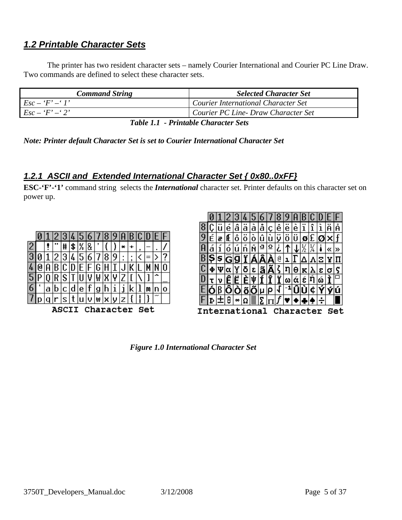# <span id="page-4-1"></span><span id="page-4-0"></span>*1.2 Printable Character Sets*

The printer has two resident character sets – namely Courier International and Courier PC Line Draw. Two commands are defined to select these character sets.

| <b>Command String</b> | <b>Selected Character Set</b>       |
|-----------------------|-------------------------------------|
| $Esc - 'F' - 'I'$     | Courier International Character Set |
| $Esc - 'F' - '2'$     | Courier PC Line- Draw Character Set |
|                       |                                     |

 *Table 1.1 - Printable Character Sets* 

*Note: Printer default Character Set is set to Courier International Character Set* 

#### <span id="page-4-2"></span>*1.2.1 ASCII and Extended International Character Set { 0x80..0xFF}*

**ESC-'F'-'1'** command string selects the *International* character set. Printer defaults on this character set on power up.

|   |                          |   |  |   |    |   | D |   | Ŏ |   |   |   |   |                       |   |
|---|--------------------------|---|--|---|----|---|---|---|---|---|---|---|---|-----------------------|---|
|   |                          |   |  | ⋕ | \$ | % | 8 |   |   |   | × |   | , |                       |   |
|   |                          |   |  | Э | 4  |   | 6 |   | 8 |   |   | , |   |                       |   |
|   |                          |   |  |   |    |   |   |   |   |   |   |   |   |                       |   |
|   |                          |   |  | ა |    |   |   |   |   |   |   |   |   |                       |   |
| o |                          | а |  |   | α  | е |   | g |   |   |   |   |   |                       | O |
|   |                          |   |  | s |    |   |   | W | × | υ |   |   |   | $\tilde{\phantom{a}}$ |   |
|   | Set<br>Character<br>ASC. |   |  |   |    |   |   |   |   |   |   |   |   |                       |   |



 *Figure 1.0 International Character Set*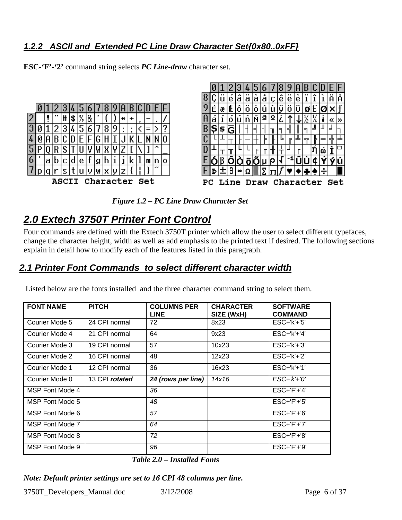## <span id="page-5-1"></span><span id="page-5-0"></span>*1.2.2 ASCII and Extended PC Line Draw Character Set{0x80..0xFF}*

**ESC-'F'-'2'** command string selects *PC Line-draw* character set.





 *Figure 1.2 – PC Line Draw Character Set* 

# <span id="page-5-2"></span>*2.0 Extech 3750T Printer Font Control*

Four commands are defined with the Extech 3750T printer which allow the user to select different typefaces, change the character height, width as well as add emphasis to the printed text if desired. The following sections explain in detail how to modify each of the features listed in this paragraph.

# <span id="page-5-3"></span>*2.1 Printer Font Commands to select different character width*

Listed below are the fonts installed and the three character command string to select them.

| <b>FONT NAME</b> | <b>PITCH</b>   | <b>COLUMNS PER</b><br><b>LINE</b> | <b>CHARACTER</b><br>SIZE (WxH) | <b>SOFTWARE</b><br><b>COMMAND</b> |
|------------------|----------------|-----------------------------------|--------------------------------|-----------------------------------|
| Courier Mode 5   | 24 CPI normal  | 72                                | 8x23                           | $ESC+'k'+'5'$                     |
| Courier Mode 4   | 21 CPI normal  | 64                                | 9x23                           | $ESC+ k'+4'$                      |
| Courier Mode 3   | 19 CPI normal  | 57                                | 10x23                          | $ESC+'k'+'3'$                     |
| Courier Mode 2   | 16 CPI normal  | 48                                | 12x23                          | $ESC+ k'+2'$                      |
| Courier Mode 1   | 12 CPI normal  | 36                                | 16x23                          | $ESC+'k'+'1'$                     |
| Courier Mode 0   | 13 CPI rotated | 24 (rows per line)                | 14x16                          | $ESC+'k'+'0'$                     |
| MSP Font Mode 4  |                | 36                                |                                | $ESC+$ $F'+$ '4'                  |
| MSP Font Mode 5  |                | 48                                |                                | $ESC+'F'+'5'$                     |
| MSP Font Mode 6  |                | 57                                |                                | $ESC+'F'+'6'$                     |
| MSP Font Mode 7  |                | 64                                |                                | $ESC+'F'+'7'$                     |
| MSP Font Mode 8  |                | 72                                |                                | $ESC+'F'+'8'$                     |
| MSP Font Mode 9  |                | 96                                |                                | $ESC+'F'+'9'$                     |

*Table 2.0 – Installed Fonts* 

*Note: Default printer settings are set to 16 CPI 48 columns per line.* 

3750T Developers Manual.doc 3/12/2008 Page 6 of 37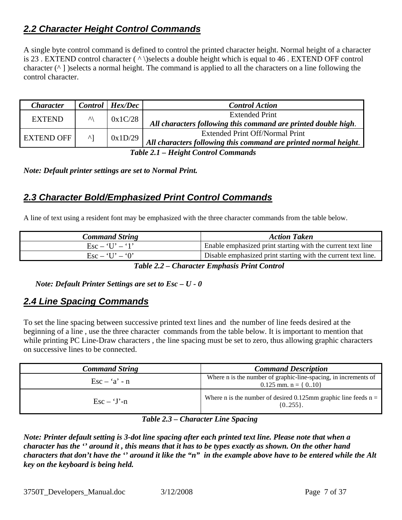# <span id="page-6-1"></span><span id="page-6-0"></span>*2.2 Character Height Control Commands*

A single byte control command is defined to control the printed character height. Normal height of a character is 23 . EXTEND control character ( ^ \)selects a double height which is equal to 46 . EXTEND OFF control character  $(^{\wedge}$  ] )selects a normal height. The command is applied to all the characters on a line following the control character.

| <b>Character</b>                                                                                                                                                                                                                                     |                  | $Control$   $Hex/Dec$ | <b>Control Action</b>                                            |
|------------------------------------------------------------------------------------------------------------------------------------------------------------------------------------------------------------------------------------------------------|------------------|-----------------------|------------------------------------------------------------------|
| <b>EXTEND</b>                                                                                                                                                                                                                                        | $\lambda\lambda$ | 0x1C/28               | <b>Extended Print</b>                                            |
|                                                                                                                                                                                                                                                      |                  |                       | All characters following this command are printed double high.   |
| <b>EXTEND OFF</b>                                                                                                                                                                                                                                    | $\mathsf{A}$     |                       | <b>Extended Print Off/Normal Print</b>                           |
|                                                                                                                                                                                                                                                      |                  | 0x1D/29               | All characters following this command are printed normal height. |
| $T$ il $\Delta$ i $\bf{H}$ il $\bf{H}$ is $\bf{H}$ in $\bf{H}$ in $\bf{H}$ in $\bf{H}$ in $\bf{H}$ in $\bf{H}$ in $\bf{H}$ is $\bf{H}$ in $\bf{H}$ in $\bf{H}$ is $\bf{H}$ in $\bf{H}$ in $\bf{H}$ is $\bf{H}$ in $\bf{H}$ is $\bf{H}$ is $\bf{H}$ i |                  |                       |                                                                  |

*Table 2.1 – Height Control Commands* 

*Note: Default printer settings are set to Normal Print.* 

# <span id="page-6-2"></span>*2.3 Character Bold/Emphasized Print Control Commands*

A line of text using a resident font may be emphasized with the three character commands from the table below.

| <b>Command String</b>                                | <b>Action Taken</b>                                           |
|------------------------------------------------------|---------------------------------------------------------------|
| $\text{Esc} - \text{'}\text{U'} - \text{'}\text{1'}$ | Enable emphasized print starting with the current text line   |
| $\text{Esc} - \text{`U'} - \text{`0'}$               | Disable emphasized print starting with the current text line. |
|                                                      |                                                               |

*Table 2.2 – Character Emphasis Print Control* 

 *Note: Default Printer Settings are set to Esc – U - 0* 

#### <span id="page-6-3"></span>*2.4 Line Spacing Commands*

To set the line spacing between successive printed text lines and the number of line feeds desired at the beginning of a line , use the three character commands from the table below. It is important to mention that while printing PC Line-Draw characters, the line spacing must be set to zero, thus allowing graphic characters on successive lines to be connected.

| <b>Command String</b>                | <b>Command Description</b>                                                                   |
|--------------------------------------|----------------------------------------------------------------------------------------------|
| $\text{Esc} - \text{'a'} - \text{n}$ | Where n is the number of graphic-line-spacing, in increments of<br>0.125 mm. $n = \{ 010 \}$ |
| $\text{Esc} - \text{`J'-}n$          | Where n is the number of desired 0.125mm graphic line feeds $n =$<br>${0255}.$               |

#### *Table 2.3 – Character Line Spacing*

*Note: Printer default setting is 3-dot line spacing after each printed text line. Please note that when a character has the '' around it , this means that it has to be types exactly as shown. On the other hand characters that don't have the '' around it like the "n" in the example above have to be entered while the Alt key on the keyboard is being held.*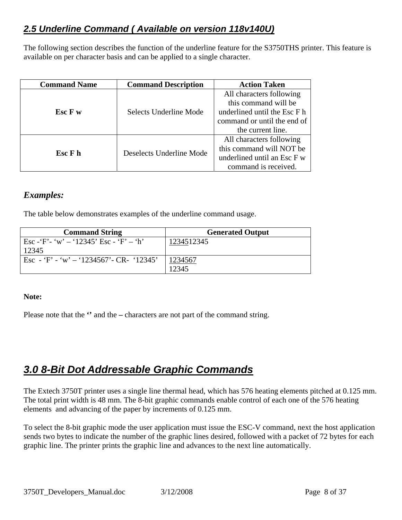# <span id="page-7-0"></span>*2.5 Underline Command ( Available on version 118v140U)*

The following section describes the function of the underline feature for the S3750THS printer. This feature is available on per character basis and can be applied to a single character.

| <b>Command Name</b> | <b>Command Description</b> | <b>Action Taken</b>          |
|---------------------|----------------------------|------------------------------|
|                     |                            | All characters following     |
|                     |                            | this command will be         |
| Esc F w             | Selects Underline Mode     | underlined until the Esc F h |
|                     |                            | command or until the end of  |
|                     |                            | the current line.            |
|                     |                            | All characters following     |
| Esc F h             | Deselects Underline Mode   | this command will NOT be     |
|                     |                            | underlined until an Esc F w  |
|                     |                            | command is received.         |

#### *Examples:*

The table below demonstrates examples of the underline command usage.

| <b>Command String</b>                        | <b>Generated Output</b> |
|----------------------------------------------|-------------------------|
| Esc - $F'$ - $w'$ - '12345' Esc - $F'$ - 'h' | 1234512345              |
| 12345                                        |                         |
| Esc - 'F' - 'w' - '1234567' - CR- '12345'    | 1234567                 |
|                                              | 12345                   |

#### **Note:**

Please note that the **''** and the **–** characters are not part of the command string.

# <span id="page-7-1"></span>*3.0 8-Bit Dot Addressable Graphic Commands*

The Extech 3750T printer uses a single line thermal head, which has 576 heating elements pitched at 0.125 mm. The total print width is 48 mm. The 8-bit graphic commands enable control of each one of the 576 heating elements and advancing of the paper by increments of 0.125 mm.

To select the 8-bit graphic mode the user application must issue the ESC-V command, next the host application sends two bytes to indicate the number of the graphic lines desired, followed with a packet of 72 bytes for each graphic line. The printer prints the graphic line and advances to the next line automatically.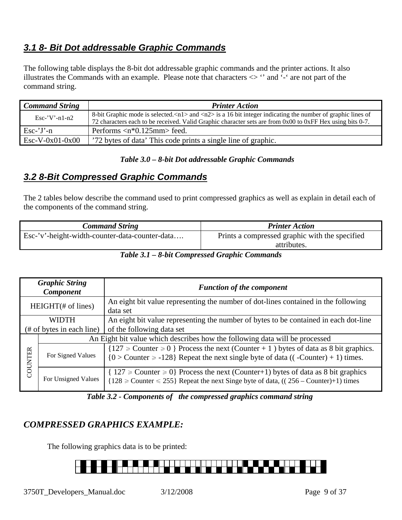# <span id="page-8-1"></span><span id="page-8-0"></span>*3.1 8- Bit Dot addressable Graphic Commands*

The following table displays the 8-bit dot addressable graphic commands and the printer actions. It also illustrates the Commands with an example. Please note that characters <> '' and '-' are not part of the command string.

| <b>Command String</b> | <b>Printer Action</b>                                                                                                                                                                                                                                    |
|-----------------------|----------------------------------------------------------------------------------------------------------------------------------------------------------------------------------------------------------------------------------------------------------|
| $Esc$ -'V'-n1-n2      | 8-bit Graphic mode is selected. $\langle n1 \rangle$ and $\langle n2 \rangle$ is a 16 bit integer indicating the number of graphic lines of<br>72 characters each to be received. Valid Graphic character sets are from 0x00 to 0xFF Hex using bits 0-7. |
| $Esc-'J'-n$           | Performs $\langle n^*0.125 \text{mm} \rangle$ feed.                                                                                                                                                                                                      |
| $Esc-V-0x01-0x00$     | '72 bytes of data' This code prints a single line of graphic.                                                                                                                                                                                            |

#### *Table 3.0 – 8-bit Dot addressable Graphic Commands*

## <span id="page-8-2"></span>*3.2 8-Bit Compressed Graphic Commands*

The 2 tables below describe the command used to print compressed graphics as well as explain in detail each of the components of the command string.

| <b>Command String</b>                          | <b>Printer Action</b>                                         |
|------------------------------------------------|---------------------------------------------------------------|
| Esc-'v'-height-width-counter-data-counter-data | Prints a compressed graphic with the specified<br>attributes. |

*Table 3.1 – 8-bit Compressed Graphic Commands* 

|                       | <b>Graphic String</b><br><b>Component</b> | <b>Function of the component</b>                                                                                                                                                     |
|-----------------------|-------------------------------------------|--------------------------------------------------------------------------------------------------------------------------------------------------------------------------------------|
| $HEIGHT(\# of lines)$ |                                           | An eight bit value representing the number of dot-lines contained in the following<br>data set                                                                                       |
|                       | <b>WIDTH</b>                              | An eight bit value representing the number of bytes to be contained in each dot-line                                                                                                 |
|                       | (# of bytes in each line)                 | of the following data set                                                                                                                                                            |
|                       |                                           | An Eight bit value which describes how the following data will be processed                                                                                                          |
| COUNTER               | For Signed Values                         | ${127 \geq$ Counter $\geq 0$ Process the next (Counter + 1) bytes of data as 8 bit graphics.<br>${0 > Counter \ge -128}$ Repeat the next single byte of data ((-Counter) + 1) times. |
|                       | For Unsigned Values                       | $\{ 127 \geq 0 \}$ Process the next (Counter+1) bytes of data as 8 bit graphics<br>${128 \geq$ Counter $\leq$ 255} Repeat the next Singe byte of data, ((256 – Counter)+1) times     |

*Table 3.2 - Components of the compressed graphics command string* 

## *COMPRESSED GRAPHICS EXAMPLE:*

The following graphics data is to be printed:

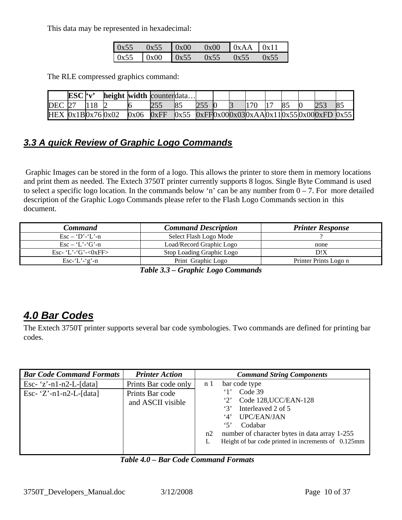<span id="page-9-0"></span>This data may be represented in hexadecimal:

| 0x55 | 0x55          | $\log 00$ | 0x00 | $\bigcup$ 0xAA $\bigcup$ 0x11 |         |
|------|---------------|-----------|------|-------------------------------|---------|
| 0x55 | $0x00$ $0x55$ |           | 0x55 | 0x55                          | $0x$ 55 |

The RLE compressed graphics command:

|                    | ESC'v' | height width counterdata |      |      |    |  |     |    |                                                  |  |
|--------------------|--------|--------------------------|------|------|----|--|-----|----|--------------------------------------------------|--|
| <b>DEC</b> 27      |        |                          |      |      | 85 |  | 170 | 85 |                                                  |  |
| HEX $0x1B0x760x02$ |        |                          | 0x06 | 0xFF |    |  |     |    | $0x55$ $0xFF0x000x030xAA0x110x550x000xFD$ $0x55$ |  |

# <span id="page-9-1"></span>*3.3 A quick Review of Graphic Logo Commands*

 Graphic Images can be stored in the form of a logo. This allows the printer to store them in memory locations and print them as needed. The Extech 3750T printer currently supports 8 logos. Single Byte Command is used to select a specific logo location. In the commands below 'n' can be any number from  $0 - 7$ . For more detailed description of the Graphic Logo Commands please refer to the Flash Logo Commands section in this document.

| <b>Command</b>                   | <b>Command Description</b> | <b>Printer Response</b> |
|----------------------------------|----------------------------|-------------------------|
| $\text{Esc} - \text{`D'-'L'--n}$ | Select Flash Logo Mode     |                         |
| $\text{Esc} - \text{'L'}$ -'G'-n | Load/Record Graphic Logo   | none                    |
| Esc- 'L'-'G'- $&0$ xFF>          | Stop Loading Graphic Logo  | D!X                     |
| Esc-'L'-'g'-n                    | Print Graphic Logo         | Printer Prints Logo n   |

*Table 3.3 – Graphic Logo Commands* 

# <span id="page-9-2"></span>*4.0 Bar Codes*

The Extech 3750T printer supports several bar code symbologies. Two commands are defined for printing bar codes.

| <b>Bar Code Command Formats</b> | <b>Printer Action</b>                | <b>Command String Components</b>                                                                                                                                                                                                            |
|---------------------------------|--------------------------------------|---------------------------------------------------------------------------------------------------------------------------------------------------------------------------------------------------------------------------------------------|
| Esc- $z'$ -n1-n2-L-[data]       | Prints Bar code only                 | bar code type<br>n <sub>1</sub>                                                                                                                                                                                                             |
| Esc- $'Z'$ -n1-n2-L-[data]      | Prints Bar code<br>and ASCII visible | Code 39<br>Code 128, UCC/EAN-128<br>$\cdot_2$<br>Interleaved 2 of 5<br>3'<br>UPC/EAN/JAN<br>4'<br>$5^{\circ}$<br>Codabar<br>number of character bytes in data array 1-255<br>n2<br>Height of bar code printed in increments of 0.125mm<br>L |

*Table 4.0 – Bar Code Command Formats*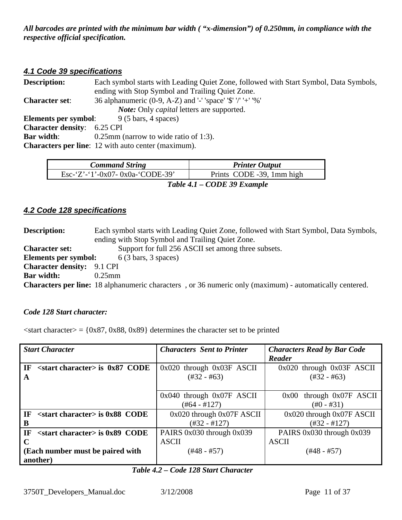<span id="page-10-0"></span>*All barcodes are printed with the minimum bar width ( "x-dimension") of 0.250mm, in compliance with the respective official specification.* 

#### <span id="page-10-1"></span>*4.1 Code 39 specifications*

| Each symbol starts with Leading Quiet Zone, followed with Start Symbol, Data Symbols,<br><b>Description:</b> |                                                             |  |  |  |  |  |
|--------------------------------------------------------------------------------------------------------------|-------------------------------------------------------------|--|--|--|--|--|
|                                                                                                              | ending with Stop Symbol and Trailing Quiet Zone.            |  |  |  |  |  |
| <b>Character set:</b>                                                                                        | 36 alphanumeric (0-9, A-Z) and '-' 'space' '\$' '/' '+' '%' |  |  |  |  |  |
|                                                                                                              | <i>Note:</i> Only <i>capital</i> letters are supported.     |  |  |  |  |  |
| Elements per symbol:                                                                                         | $9(5 \text{ bars}, 4 \text{ spaces})$                       |  |  |  |  |  |
| <b>Character density:</b> 6.25 CPI                                                                           |                                                             |  |  |  |  |  |
| <b>Bar width:</b>                                                                                            | $0.25$ mm (narrow to wide ratio of 1:3).                    |  |  |  |  |  |
|                                                                                                              | <b>Characters per line:</b> 12 with auto center (maximum).  |  |  |  |  |  |
|                                                                                                              |                                                             |  |  |  |  |  |

| <b>Command String</b>            | <b>Printer Output</b>     |  |  |  |  |
|----------------------------------|---------------------------|--|--|--|--|
| Esc-'Z'-'1'-0x07- 0x0a-'CODE-39' | Prints CODE -39, 1mm high |  |  |  |  |
| Table 4.1 – CODE 39 Example      |                           |  |  |  |  |

#### <span id="page-10-2"></span>*4.2 Code 128 specifications*

**Description:** Each symbol starts with Leading Quiet Zone, followed with Start Symbol, Data Symbols, ending with Stop Symbol and Trailing Quiet Zone. **Character set:** Support for full 256 ASCII set among three subsets. **Elements per symbol:** 6 (3 bars, 3 spaces) **Character density:** 9.1 CPI **Bar width:** 0.25mm **Characters per line:** 18 alphanumeric characters , or 36 numeric only (maximum) - automatically centered.

#### *Code 128 Start character:*

 $\langle$ start character $\rangle$  = {0x87, 0x88, 0x89} determines the character set to be printed

| <b>Start Character</b>                    | <b>Characters</b> Sent to Printer | <b>Characters Read by Bar Code</b> |
|-------------------------------------------|-----------------------------------|------------------------------------|
|                                           |                                   | Reader                             |
| $\le$ start character> is 0x87 CODE<br>IF | $0x020$ through $0x03F$ ASCII     | $0x020$ through $0x03F$ ASCII      |
| A                                         | $(\#32 - \#63)$                   | $(\#32 - \#63)$                    |
|                                           |                                   |                                    |
|                                           | $0x040$ through $0x07F$ ASCII     | through 0x07F ASCII<br>0x00        |
|                                           | $(\#64 - \#127)$                  | $(\text{\#}0 - \text{\#}31)$       |
| IF<br>$\le$ start character> is 0x88 CODE | $0x020$ through $0x07F$ ASCII     | 0x020 through 0x07F ASCII          |
| B                                         | $(\#32 - \#127)$                  | $(\#32 - \#127)$                   |
| $\le$ start character> is 0x89 CODE<br>IF | PAIRS 0x030 through 0x039         | PAIRS 0x030 through 0x039          |
| $\mathbf C$                               | <b>ASCII</b>                      | <b>ASCII</b>                       |
| (Each number must be paired with          | (#48 - #57)                       | $(+48 - #57)$                      |
| another)                                  |                                   |                                    |

#### *Table 4.2 – Code 128 Start Character*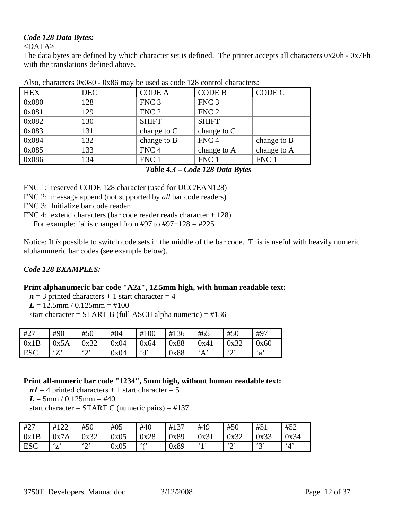#### *Code 128 Data Bytes:*

<DATA>

The data bytes are defined by which character set is defined. The printer accepts all characters 0x20h - 0x7Fh with the translations defined above.

| <b>HEX</b> | <b>DEC</b> | <b>CODE A</b>    | <b>CODE B</b>    | CODE C      |
|------------|------------|------------------|------------------|-------------|
| 0x080      | 128        | FNC <sub>3</sub> | FNC <sub>3</sub> |             |
| 0x081      | 129        | FNC <sub>2</sub> | FNC <sub>2</sub> |             |
| 0x082      | 130        | <b>SHIFT</b>     | <b>SHIFT</b>     |             |
| 0x083      | 131        | change to $C$    | change to $C$    |             |
| 0x084      | 132        | change to B      | FNC <sub>4</sub> | change to B |
| 0x085      | 133        | FNC <sub>4</sub> | change to A      | change to A |
| 0x086      | 134        | FNC 1            | FNC 1            | FNC 1       |

Also, characters 0x080 - 0x86 may be used as code 128 control characters:

*Table 4.3 – Code 128 Data Bytes* 

FNC 1: reserved CODE 128 character (used for UCC/EAN128)

- FNC 2: message append (not supported by *all* bar code readers)
- FNC 3: Initialize bar code reader

FNC 4: extend characters (bar code reader reads character + 128)

For example: 'a' is changed from #97 to #97+128 = #225

Notice: It *is* possible to switch code sets in the middle of the bar code. This is useful with heavily numeric alphanumeric bar codes (see example below).

#### *Code 128 EXAMPLES:*

#### **Print alphanumeric bar code "A2a", 12.5mm high, with human readable text:**

 $n = 3$  printed characters + 1 start character = 4

 $L = 12.5$ mm /  $0.125$ mm = #100

start character =  $START B$  (full ASCII alpha numeric) =  $\#136$ 

| #27        | #90                | #50                   | #04  | #100       | #136 | #65  | #50                   | #97                       |
|------------|--------------------|-----------------------|------|------------|------|------|-----------------------|---------------------------|
| 0x1B       | 0x5A               | 0x32                  | 0x04 | 0x64       | 0x88 | 0x41 | 0x32                  | 0x60                      |
| <b>ESC</b> | $\mathcal{F}$<br>∠ | $\mathfrak{c}_2$<br>∠ | 0x04 | $\partial$ | 0x88 | A    | $\mathfrak{c}_2$<br>∠ | $\mathbf{a}^{\mathbf{a}}$ |

#### **Print all-numeric bar code "1234", 5mm high, without human readable text:**

 $nI = 4$  printed characters + 1 start character = 5  $L = 5$ mm / 0.125mm = #40

start character =  $START C$  (numeric pairs) =  $\#137$ 

| #27        | #122                            | #50           | #05  | #40  | #137 | #49  | #50           | #51     | #52                    |
|------------|---------------------------------|---------------|------|------|------|------|---------------|---------|------------------------|
| 0x1B       | 0x7A                            | 0x32          | 0x05 | 0x28 | 0x89 | 0x31 | 0x32          | 0x33    | 0x34                   |
| <b>ESC</b> | $\mathcal{L}_{\mathbf{r}}$<br>∠ | $\omega$<br>∼ | 0x05 | (1)  | 0x89 | 61.5 | $\omega$<br>∽ | 42<br>ັ | $\cdot$ <sub>4</sub> , |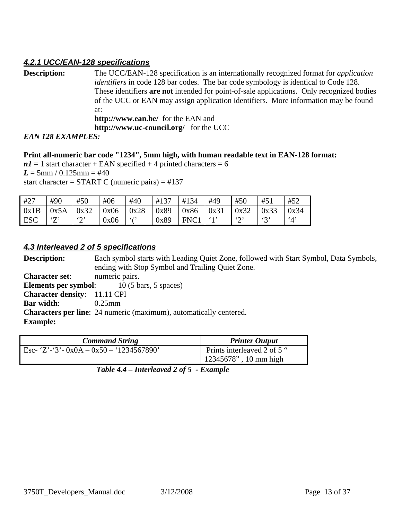#### <span id="page-12-1"></span><span id="page-12-0"></span>*4.2.1 UCC/EAN-128 specifications*

| <b>Description:</b>      | The UCC/EAN-128 specification is an internationally recognized format for <i>application</i> |
|--------------------------|----------------------------------------------------------------------------------------------|
|                          | <i>identifiers</i> in code 128 bar codes. The bar code symbology is identical to Code 128.   |
|                          | These identifiers are not intended for point-of-sale applications. Only recognized bodies    |
|                          | of the UCC or EAN may assign application identifiers. More information may be found          |
|                          | at:                                                                                          |
|                          | <b>http://www.ean.be/</b> for the EAN and                                                    |
|                          | http://www.uc-council.org/ for the UCC                                                       |
| $FAN$ 190 $FVA$ MDI F.C. |                                                                                              |

*EAN 128 EXAMPLES:* 

#### **Print all-numeric bar code "1234", 5mm high, with human readable text in EAN-128 format:**

 $nI = 1$  start character + EAN specified + 4 printed characters = 6  $L = 5$ mm / 0.125 mm = #40 start character =  $START C$  (numeric pairs) =  $\#137$ 

| #27        | #90     | #50                     | #06  | #40           | #137 | #134 | #49  | #50           | #51     | #52                    |
|------------|---------|-------------------------|------|---------------|------|------|------|---------------|---------|------------------------|
| 0x1B       | 0x5A    | 0x32                    | 0x06 | 0x28          | 0x89 | 0x86 | 0x31 | 0x32          | 0x33    | 0x34                   |
| <b>ESC</b> | 57<br>∸ | $\mathfrak{c}\cap$<br>∼ | 0x06 | $\frac{1}{2}$ | 0x89 | FNC1 |      | $\omega$<br>∼ | 42<br>ັ | $\cdot$ <sub>4</sub> , |

#### <span id="page-12-2"></span>*4.3 Interleaved 2 of 5 specifications*

**Description:** Each symbol starts with Leading Quiet Zone, followed with Start Symbol, Data Symbols, ending with Stop Symbol and Trailing Quiet Zone. **Character set**: numeric pairs. **Elements per symbol:** 10 (5 bars, 5 spaces) **Character density**: 11.11 CPI **Bar width**: 0.25mm **Characters per line**: 24 numeric (maximum), automatically centered. **Example:** 

<span id="page-12-3"></span>

| <b>Printer Output</b>                                   |
|---------------------------------------------------------|
| Prints interleaved 2 of 5 "<br>$12345678$ ", 10 mm high |
|                                                         |

*Table 4.4 – Interleaved 2 of 5 - Example*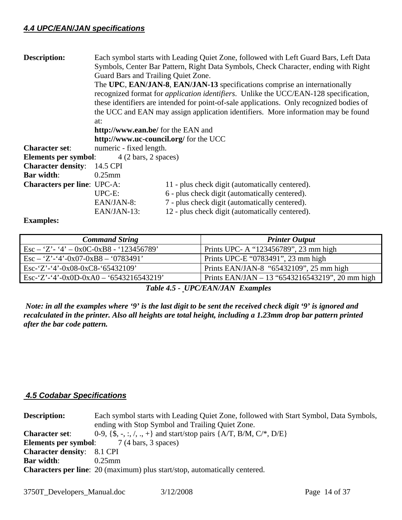#### <span id="page-13-0"></span>*4.4 UPC/EAN/JAN specifications*

| <b>Description:</b>                |                                                                                   | Each symbol starts with Leading Quiet Zone, followed with Left Guard Bars, Left Data         |  |  |  |
|------------------------------------|-----------------------------------------------------------------------------------|----------------------------------------------------------------------------------------------|--|--|--|
|                                    |                                                                                   | Symbols, Center Bar Pattern, Right Data Symbols, Check Character, ending with Right          |  |  |  |
|                                    | Guard Bars and Trailing Quiet Zone.                                               |                                                                                              |  |  |  |
|                                    |                                                                                   | The UPC, EAN/JAN-8, EAN/JAN-13 specifications comprise an internationally                    |  |  |  |
|                                    |                                                                                   | recognized format for <i>application identifiers</i> . Unlike the UCC/EAN-128 specification, |  |  |  |
|                                    |                                                                                   | these identifiers are intended for point-of-sale applications. Only recognized bodies of     |  |  |  |
|                                    | the UCC and EAN may assign application identifiers. More information may be found |                                                                                              |  |  |  |
|                                    | at:                                                                               |                                                                                              |  |  |  |
|                                    | http://www.ean.be/ for the EAN and                                                |                                                                                              |  |  |  |
|                                    | http://www.uc-council.org/ for the UCC                                            |                                                                                              |  |  |  |
| <b>Character set:</b>              | numeric - fixed length.                                                           |                                                                                              |  |  |  |
| Elements per symbol:               | $4(2 \text{ bars}, 2 \text{ spaces})$                                             |                                                                                              |  |  |  |
| <b>Character density:</b>          | 14.5 CPI                                                                          |                                                                                              |  |  |  |
| <b>Bar width:</b>                  | $0.25$ mm                                                                         |                                                                                              |  |  |  |
| <b>Characters per line: UPC-A:</b> |                                                                                   | 11 - plus check digit (automatically centered).                                              |  |  |  |
|                                    | $UPC-E$ :                                                                         | 6 - plus check digit (automatically centered).                                               |  |  |  |
|                                    | EAN/JAN-8:                                                                        | 7 - plus check digit (automatically centered).                                               |  |  |  |
|                                    | EAN/JAN-13:                                                                       | 12 - plus check digit (automatically centered).                                              |  |  |  |

#### **Examples:**

| <b>Command String</b>                                | <b>Printer Output</b>                           |
|------------------------------------------------------|-------------------------------------------------|
| $\text{Esc} - 'Z' - '4' - 0x0C - 0xB8 - '123456789'$ | Prints UPC- A "123456789", 23 mm high           |
| $\text{Esc} - 'Z' - '4' - 0x07 - 0xB8 - '0783491'$   | Prints UPC-E "0783491", 23 mm high              |
| Esc-'Z'-'4'-0x08-0xC8-'65432109'                     | Prints EAN/JAN-8 "65432109", 25 mm high         |
| Esc-'Z'-'4'-0x0D-0xA0 - '6543216543219'              | Prints EAN/JAN – 13 "6543216543219", 20 mm high |

 *Table 4.5 - UPC/EAN/JAN Examples* 

 *Note: in all the examples where '9' is the last digit to be sent the received check digit '9' is ignored and recalculated in the printer. Also all heights are total height, including a 1.23mm drop bar pattern printed after the bar code pattern.* 

#### <span id="page-13-1"></span> *4.5 Codabar Specifications*

| <b>Description:</b>               | Each symbol starts with Leading Quiet Zone, followed with Start Symbol, Data Symbols,<br>ending with Stop Symbol and Trailing Quiet Zone. |
|-----------------------------------|-------------------------------------------------------------------------------------------------------------------------------------------|
| <b>Character set:</b>             | 0-9, {\$, -, :, /, ., +} and start/stop pairs {A/T, B/M, C/*, D/E}                                                                        |
|                                   | <b>Elements per symbol:</b> 7 (4 bars, 3 spaces)                                                                                          |
| <b>Character density:</b> 8.1 CPI |                                                                                                                                           |
| <b>Bar width:</b>                 | $0.25$ mm                                                                                                                                 |
|                                   | <b>Characters per line:</b> 20 (maximum) plus start/stop, automatically centered.                                                         |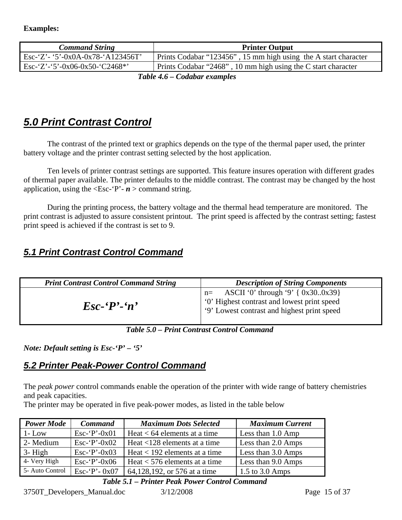<span id="page-14-0"></span>

| <b>Command String</b>                                 | <b>Printer Output</b>                                           |
|-------------------------------------------------------|-----------------------------------------------------------------|
| Esc-'Z' - '5'-0x0A-0x78-'A123456T'                    | Prints Codabar "123456", 15 mm high using the A start character |
| $\text{Esc-'}Z$ '-'5'-0x06-0x50-'C2468 <sup>*</sup> ' | Prints Codabar "2468", 10 mm high using the C start character   |

*Table 4.6 – Codabar examples* 

# <span id="page-14-1"></span>*5.0 Print Contrast Control*

The contrast of the printed text or graphics depends on the type of the thermal paper used, the printer battery voltage and the printer contrast setting selected by the host application.

Ten levels of printer contrast settings are supported. This feature insures operation with different grades of thermal paper available. The printer defaults to the middle contrast. The contrast may be changed by the host application, using the  $\leq$ Esc-'P'-  $n >$  command string.

During the printing process, the battery voltage and the thermal head temperature are monitored. The print contrast is adjusted to assure consistent printout. The print speed is affected by the contrast setting; fastest print speed is achieved if the contrast is set to 9.

# <span id="page-14-2"></span>*5.1 Print Contrast Control Command*

| <b>Print Contrast Control Command String</b> | <b>Description of String Components</b>                                                                                                              |
|----------------------------------------------|------------------------------------------------------------------------------------------------------------------------------------------------------|
| $\mathbf{E}$ sc- $\mathbf{P}'$ -'n'          | ASCII '0' through '9' { 0x300x39}<br>$n=$<br><sup>1</sup> '0' Highest contrast and lowest print speed<br>'9' Lowest contrast and highest print speed |

*Table 5.0 – Print Contrast Control Command* 

*Note: Default setting is Esc-'P' – '5'* 

# <span id="page-14-3"></span>*5.2 Printer Peak-Power Control Command*

The *peak power* control commands enable the operation of the printer with wide range of battery chemistries and peak capacities.

The printer may be operated in five peak-power modes, as listed in the table below

| <b>Power Mode</b> | <b>Command</b>   | <b>Maximum Dots Selected</b>    | <b>Maximum Current</b>      |
|-------------------|------------------|---------------------------------|-----------------------------|
| $1 - Low$         | $Esc$ -'P'-0x01  | Heat $< 64$ elements at a time  | Less than $1.0 \text{ Amp}$ |
| 2- Medium         | Esc- $P'-0x02$   | Heat $<$ 128 elements at a time | Less than 2.0 Amps          |
| $3 - High$        | Esc- $P'-0x03$   | Heat $<$ 192 elements at a time | Less than 3.0 Amps          |
| 4- Very High      | $Esc$ -'P'-0x06  | Heat $<$ 576 elements at a time | Less than 9.0 Amps          |
| 5- Auto Control   | $Esc - P - 0x07$ | 64,128,192, or 576 at a time    | 1.5 to $3.0 \text{ Amps}$   |

#### *Table 5.1 – Printer Peak Power Control Command*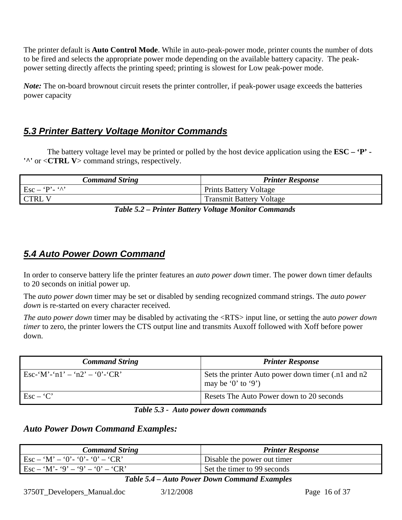<span id="page-15-0"></span>The printer default is **Auto Control Mode**. While in auto-peak-power mode, printer counts the number of dots to be fired and selects the appropriate power mode depending on the available battery capacity. The peakpower setting directly affects the printing speed; printing is slowest for Low peak-power mode.

*Note:* The on-board brownout circuit resets the printer controller, if peak-power usage exceeds the batteries power capacity

# <span id="page-15-1"></span>*5.3 Printer Battery Voltage Monitor Commands*

The battery voltage level may be printed or polled by the host device application using the **ESC – 'P' - '^'** or <**CTRL V**> command strings, respectively.

| <b>Command String</b>                                            | <b>Printer Response</b>         |
|------------------------------------------------------------------|---------------------------------|
| $\operatorname{Esc} - \operatorname{`P'}$ - $\operatorname{`N'}$ | <b>Prints Battery Voltage</b>   |
| CTRL V                                                           | <b>Transmit Battery Voltage</b> |
| ________                                                         | ___<br>___                      |

*Table 5.2 – Printer Battery Voltage Monitor Commands* 

## <span id="page-15-2"></span>*5.4 Auto Power Down Command*

In order to conserve battery life the printer features an *auto power down* timer. The power down timer defaults to 20 seconds on initial power up.

The *auto power down* timer may be set or disabled by sending recognized command strings. The *auto power down* is re-started on every character received.

*The auto power down* timer may be disabled by activating the <RTS> input line, or setting the auto *power down timer* to zero, the printer lowers the CTS output line and transmits Auxoff followed with Xoff before power down.

| <b>Command String</b>          | <b>Printer Response</b>                                                  |
|--------------------------------|--------------------------------------------------------------------------|
| Esc-'M'-'n1' – 'n2' – '0'-'CR' | Sets the printer Auto power down timer (.n1 and n2<br>may be '0' to '9') |
| $\text{Esc} - \text{`C'}$      | Resets The Auto Power down to 20 seconds                                 |

#### *Table 5.3 - Auto power down commands*

#### *Auto Power Down Command Examples:*

| <b>Command String</b>                                                          | <b>Printer Response</b>     |
|--------------------------------------------------------------------------------|-----------------------------|
| $\text{Esc} - \text{`M'} - \text{`0' - '0' - '0' - 'CR'}$                      | Disable the power out timer |
| $\text{Esc} - \text{'M'} - \text{'9'} - \text{'9'} - \text{'0'} - \text{'CR'}$ | Set the timer to 99 seconds |

 *Table 5.4 – Auto Power Down Command Examples*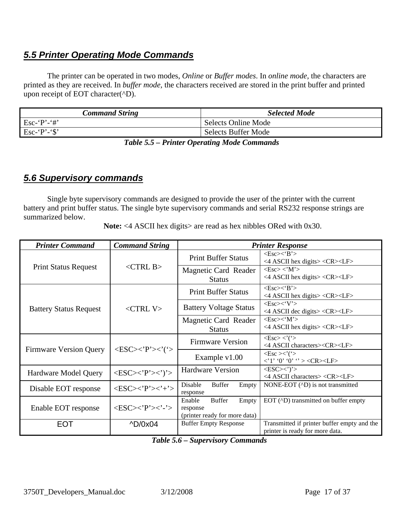# <span id="page-16-1"></span><span id="page-16-0"></span>*5.5 Printer Operating Mode Commands*

The printer can be operated in two modes, *Online* or *Buffer modes*. In *online mode,* the characters are printed as they are received. In *buffer mode,* the characters received are stored in the print buffer and printed upon receipt of EOT character(^D).

| <b>Command String</b> | <b>Selected Mode</b> |
|-----------------------|----------------------|
| $Esc - P - #'$        | Selects Online Mode  |
| Esc-'P'-'\$'          | Selects Buffer Mode  |
|                       |                      |

 *Table 5.5 – Printer Operating Mode Commands* 

## <span id="page-16-2"></span>*5.6 Supervisory commands*

Single byte supervisory commands are designed to provide the user of the printer with the current battery and print buffer status. The single byte supervisory commands and serial RS232 response strings are summarized below.

Note: <4 ASCII hex digits> are read as hex nibbles ORed with 0x30.

| <b>Printer Command</b>        | <b>Command String</b>                                           | <b>Printer Response</b>                                                       |                                                                                               |  |  |  |
|-------------------------------|-----------------------------------------------------------------|-------------------------------------------------------------------------------|-----------------------------------------------------------------------------------------------|--|--|--|
|                               |                                                                 | <b>Print Buffer Status</b>                                                    | $<\text{Esc}\right>\lt$ $B$ ' $>$<br><4 ASCII hex digits> <cr><lf></lf></cr>                  |  |  |  |
| <b>Print Status Request</b>   | $<$ CTRL B $>$                                                  | Magnetic Card Reader<br><b>Status</b>                                         | $<\text{Esc}\ge\lt' M'$<br><4 ASCII hex digits> <cr><lf></lf></cr>                            |  |  |  |
|                               |                                                                 | <b>Print Buffer Status</b>                                                    | $<\text{Esc}\rightleftharpoons\text{'B'}$<br><4 ASCII hex digits> <cr><lf></lf></cr>          |  |  |  |
| <b>Battery Status Request</b> | $\langle$ CTRL V $>$                                            | <b>Battery Voltage Status</b>                                                 | $<\text{Esc}\right>\lt' V$<br><4 ASCII dec digits> <cr><lf></lf></cr>                         |  |  |  |
|                               |                                                                 | Magnetic Card Reader<br><b>Status</b>                                         | $<\!\!Esc\!\!>\!\!<\!\!`M\!\!>$<br>$\langle$ ASCII hex digits> $\langle$ CR> $\langle$ LF>    |  |  |  |
| <b>Firmware Version Query</b> | $\langle ESC \rangle \langle P' \rangle \langle ' \rangle$      | <b>Firmware Version</b>                                                       | $<\!\!Esc\!\!><\!\!'$ ('><br><4 ASCII characters> <cr><lf></lf></cr>                          |  |  |  |
|                               |                                                                 | Example $v1.00$                                                               | $\langle$ Esc $>\!\!\!\!\times$ ' $\langle$ ' $>$<br>$\langle 1' '0' '0' ' > <$ CR> <lf></lf> |  |  |  |
| <b>Hardware Model Query</b>   | $<\!\!ESC\!\!><\!\!'P'\!\!><\!\!'\!\!>$                         | <b>Hardware Version</b>                                                       | $<\text{ESC}\!\!>\!\!\cdot\!\!$ <sup>'</sup> ><br><4 ASCII characters> <cr><lf></lf></cr>     |  |  |  |
| Disable EOT response          | $<\!\!ESC\!\!><\!\!'P'\!\!><\!\!>'\!\!+'\!\!>$                  | <b>Buffer</b><br>Disable<br>Empty<br>response                                 | NONE-EOT (^D) is not transmitted                                                              |  |  |  |
| Enable EOT response           | $<\!\!{\rm ESC}\!\!>\!\!<\!\!{\rm P}\!\!>\!\!<\!\!{\rm -}\!\!>$ | <b>Buffer</b><br>Enable<br>Empty<br>response<br>(printer ready for more data) | EOT (^D) transmitted on buffer empty                                                          |  |  |  |
| <b>EOT</b>                    | $\triangle D/0x04$                                              | <b>Buffer Empty Response</b>                                                  | Transmitted if printer buffer empty and the<br>printer is ready for more data.                |  |  |  |

 *Table 5.6 – Supervisory Commands*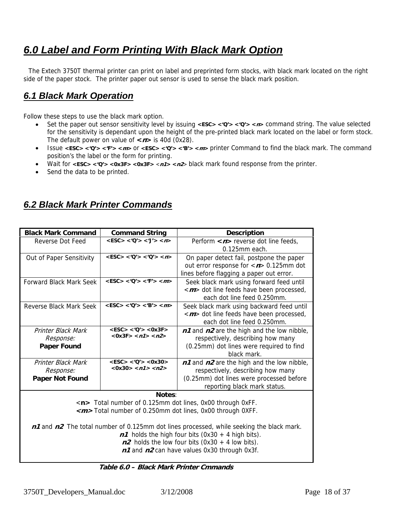# <span id="page-17-0"></span>*6.0 Label and Form Printing With Black Mark Option*

 The Extech 3750T thermal printer can print on label and preprinted form stocks, with black mark located on the right side of the paper stock. The printer paper out sensor is used to sense the black mark position.

## <span id="page-17-2"></span>*6.1 Black Mark Operation*

Follow these steps to use the black mark option.

- Set the paper out sensor sensitivity level by issuing <**ESC> <'Q'> <'Q'> <** $n$ **> command string. The value selected** for the sensitivity is dependant upon the height of the pre-printed black mark located on the label or form stock. The default power on value of **<n>** is 40d (0x28).
- Issue **<ESC> <'Q'> <'F'> <m>** or **<ESC> <'Q'> <'B'> <m>** printer Command to find the black mark. The command position's the label or the form for printing.
- Wait for **<ESC> <'Q'> <0x3F> <0x3F>** <**n1> <n2**> black mark found response from the printer.
- Send the data to be printed.

## <span id="page-17-3"></span>*6.2 Black Mark Printer Commands*

| <b>Black Mark Command</b> | <b>Command String</b>             | <b>Description</b>                                                                       |  |  |  |
|---------------------------|-----------------------------------|------------------------------------------------------------------------------------------|--|--|--|
| Reverse Dot Feed          | $<$ ESC> $<$ 'Q'> $<$ 'J'> $<$ n> | Perform $\langle n \rangle$ reverse dot line feeds,                                      |  |  |  |
|                           |                                   | $0.125$ mm each.                                                                         |  |  |  |
| Out of Paper Sensitivity  | $<$ ESC> $<$ 'Q'> $<$ 'Q'> $<$ n> | On paper detect fail, postpone the paper                                                 |  |  |  |
|                           |                                   | out error response for $\langle n \rangle$ 0.125mm dot                                   |  |  |  |
|                           |                                   | lines before flagging a paper out error.                                                 |  |  |  |
| Forward Black Mark Seek   | $<$ ESC> $<$ 'Q'> $<$ 'F'> $<$ m> | Seek black mark using forward feed until                                                 |  |  |  |
|                           |                                   | < <i>m</i> > dot line feeds have been processed,                                         |  |  |  |
|                           |                                   | each dot line feed 0.250mm.                                                              |  |  |  |
| Reverse Black Mark Seek   | $<$ ESC> $<$ 'Q'> $<$ 'B'> $<$ m> | Seek black mark using backward feed until                                                |  |  |  |
|                           |                                   | < <i>m</i> > dot line feeds have been processed,                                         |  |  |  |
|                           |                                   | each dot line feed 0.250mm.                                                              |  |  |  |
| <b>Printer Black Mark</b> | $<$ ESC> $<$ 'Q'> $<$ 0x3F>       | $n1$ and $n2$ are the high and the low nibble,                                           |  |  |  |
| Response:                 | $<0x3F>$ < $n1>$ < $n2>$          | respectively, describing how many                                                        |  |  |  |
| <b>Paper Found</b>        |                                   | (0.25mm) dot lines were required to find                                                 |  |  |  |
|                           |                                   | black mark.                                                                              |  |  |  |
| Printer Black Mark        | $<$ ESC> $<$ 'Q'> $<$ 0x30>       | n1 and n2 are the high and the low nibble,                                               |  |  |  |
| Response:                 | $<0x30>$ < n1> < n2>              | respectively, describing how many                                                        |  |  |  |
| Paper Not Found           |                                   | (0.25mm) dot lines were processed before                                                 |  |  |  |
|                           |                                   | reporting black mark status.                                                             |  |  |  |
|                           | Notes:                            |                                                                                          |  |  |  |
|                           |                                   | <n> Total number of 0.125mm dot lines, 0x00 through 0xFF.</n>                            |  |  |  |
|                           |                                   | < <i>m</i> >Total number of 0.250mm dot lines, 0x00 through 0XFF.                        |  |  |  |
|                           |                                   |                                                                                          |  |  |  |
|                           |                                   | n1 and n2 The total number of 0.125mm dot lines processed, while seeking the black mark. |  |  |  |
|                           |                                   | $n1$ holds the high four bits (0x30 + 4 high bits).                                      |  |  |  |
|                           |                                   | $n2$ holds the low four bits (0x30 + 4 low bits).                                        |  |  |  |
|                           |                                   | n1 and n2 can have values 0x30 through 0x3f.                                             |  |  |  |
|                           |                                   |                                                                                          |  |  |  |

<span id="page-17-1"></span> **Table 6.0 – Black Mark Printer Cmmands**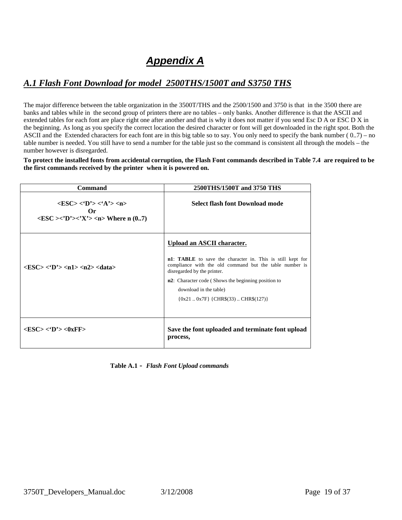# *Appendix A*

## <span id="page-18-1"></span><span id="page-18-0"></span>*A.1 Flash Font Download for model 2500THS/1500T and S3750 THS*

The major difference between the table organization in the 3500T/THS and the 2500/1500 and 3750 is that in the 3500 there are banks and tables while in the second group of printers there are no tables – only banks. Another difference is that the ASCII and extended tables for each font are place right one after another and that is why it does not matter if you send Esc D A or ESC D X in the beginning. As long as you specify the correct location the desired character or font will get downloaded in the right spot. Both the ASCII and the Extended characters for each font are in this big table so to say. You only need to specify the bank number  $(0.7)$  – no table number is needed. You still have to send a number for the table just so the command is consistent all through the models – the number however is disregarded.

**To protect the installed fonts from accidental corruption, the Flash Font commands described in Table 7.4 are required to be the first commands received by the printer when it is powered on.** 

| <b>Command</b>                                                                                                                        | 2500THS/1500T and 3750 THS                                                                                                                                                                                                                                                                                    |
|---------------------------------------------------------------------------------------------------------------------------------------|---------------------------------------------------------------------------------------------------------------------------------------------------------------------------------------------------------------------------------------------------------------------------------------------------------------|
| $<$ ESC> $<$ 'D'> $<$ 'A'> $<$ n><br>Or<br>$\langle ESC \rangle \langle D' \rangle \langle X' \rangle \langle n \rangle$ Where n (07) | Select flash font Download mode                                                                                                                                                                                                                                                                               |
| $\langle FSC \rangle \langle D \rangle \langle n1 \rangle \langle n2 \rangle \langle d$ ata $\rangle$                                 | Upload an ASCII character.<br>n1: TABLE to save the character in. This is still kept for<br>compliance with the old command but the table number is<br>disregarded by the printer.<br>n2: Character code (Shows the beginning position to<br>download in the table)<br>$\{0x210x7F\}$ {CHR\$(33)  CHR\$(127)} |
| $<$ ESC> $<$ 'D'> $<$ 0xFF>                                                                                                           | Save the font uploaded and terminate font upload<br>process,                                                                                                                                                                                                                                                  |

 **Table A.1 -** *Flash Font Upload commands*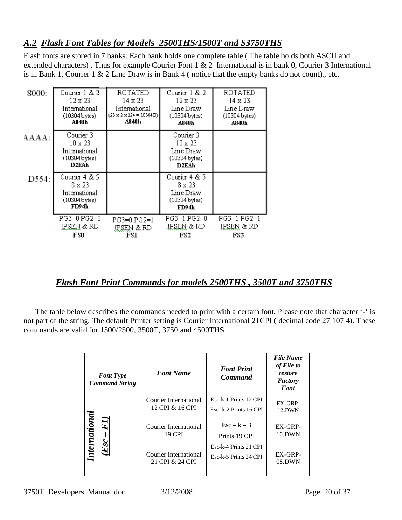## <span id="page-19-0"></span>*A.2 Flash Font Tables for Models 2500THS/1500T and S3750THS*

Flash fonts are stored in 7 banks. Each bank holds one complete table ( The table holds both ASCII and extended characters) . Thus for example Courier Font 1 & 2 International is in bank 0, Courier 3 International is in Bank 1, Courier 1 & 2 Line Draw is in Bank 4 ( notice that the empty banks do not count)., etc.

| 8000: | Courier 1 & 2                                                            | ROTATED                             | Courier 1 & 2                                                    | ROTATED               |
|-------|--------------------------------------------------------------------------|-------------------------------------|------------------------------------------------------------------|-----------------------|
|       | 12 x 23                                                                  | 14 x 23                             | 12 x 23                                                          | 14 x 23               |
|       | International                                                            | International                       | Line Draw                                                        | Line Draw             |
|       | $(10304$ bytes)                                                          | $(23 \times 2 \times 224 = 10304B)$ | $(10304$ bytes)                                                  | $(10304$ bytes)       |
|       | A840h                                                                    | A840h                               | A840h                                                            | A840h                 |
| AAAA: | Courier 3<br>$10 \times 23$<br>International<br>$(10304$ bytes)<br>D2EAh |                                     | Courier 3<br>10 x 23<br>Line Draw<br>(10304 bytes)<br>D2EAh      |                       |
| D554: | Courier 4 & 5<br>8 x 23<br>International<br>$(10304$ bytes)<br>FD94h     |                                     | Courier 4 & 5<br>8 x 23<br>Line Draw<br>$(10304$ bytes)<br>FD94h |                       |
|       | PG3=0 PG2=0                                                              | PG3=0 PG2=1                         | PG3=1 PG2=0                                                      | PG3=1 PG2=1           |
|       | <u>IPSEN</u> & RD                                                        | <u>IPSEN</u> & RD                   | IRSEN & RD                                                       | <u>IPSEN &amp; RD</u> |
|       | FSO                                                                      | FS1                                 | FS2                                                              | FS3                   |

## *Flash Font Print Commands for models 2500THS , 3500T and 3750THS*

<span id="page-19-1"></span> The table below describes the commands needed to print with a certain font. Please note that character '-' is not part of the string. The default Printer setting is Courier International 21CPI ( decimal code 27 107 4). These commands are valid for 1500/2500, 3500T, 3750 and 4500THS.

| <b>Font Type</b><br><b>Command String</b> | <b>Font Name</b>      | <b>Font Print</b><br><b>Command</b> | <b>File Name</b><br>of File to<br>restore<br>Factory<br>Font |
|-------------------------------------------|-----------------------|-------------------------------------|--------------------------------------------------------------|
|                                           | Courier International | Esc-k-1 Prints 12 CPI               | EX-GRP-                                                      |
|                                           | 12 CPI & 16 CPI       | Esc-k-2 Prints 16 CPI               | 12.DWN                                                       |
| International                             | Courier International | $\text{Esc} - \text{k} - 3$         | EX-GRP-                                                      |
| FI)                                       | <b>19 CPI</b>         | Prints 19 CPI                       | 10.DWN                                                       |
| Ū                                         | Courier International | Esc-k-4 Prints 21 CPI               | EX-GRP-                                                      |
|                                           | 21 CPI & 24 CPI       | Esc-k-5 Prints 24 CPI               | 08.DWN                                                       |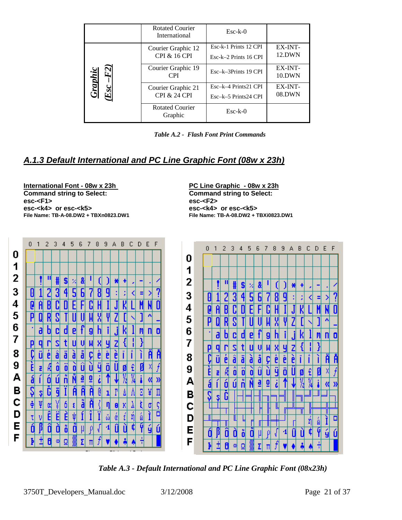<span id="page-20-0"></span>

|                                  | <b>Rotated Courier</b><br>International       | $Esc-k-0$                                        |                   |
|----------------------------------|-----------------------------------------------|--------------------------------------------------|-------------------|
|                                  | Courier Graphic 12<br><b>CPI &amp; 16 CPI</b> | Esc-k-1 Prints 12 CPI<br>$Esc-k-2$ Prints 16 CPI | EX-INT-<br>12.DWN |
| Ìі                               | Courier Graphic 19<br><b>CPI</b>              | Esc-k-3Prints 19 CPI                             | EX-INT-<br>10.DWN |
| (dv.<br>$\overline{\mathcal{S}}$ | Courier Graphic 21<br><b>CPI &amp; 24 CPI</b> | Esc-k-4 Prints21 CPI<br>Esc-k-5 Prints24 CPI     | EX-INT-<br>08.DWN |
|                                  | <b>Rotated Courier</b><br>Graphic             | $Esc-k-0$                                        |                   |

 *Table A.2 - Flash Font Print Commands* 

# <span id="page-20-1"></span>*A.1.3 Default International and PC Line Graphic Font (08w x 23h)*

**International Font - 08w x 23h PC Line Graphic - 08w x 23h Command string to Select: Command string to Select: esc-<F1> esc-<F2> esc-<k4> or esc-<k5> esc-<k4> or esc-<k5> File Name: TB-A-08.DW2 + TBXn0823.DW1 File Name: TB-A-08.DW2 + TBXi0823.DW1** 



 *Table A.3 - Default International and PC Line Graphic Font (08x23h)*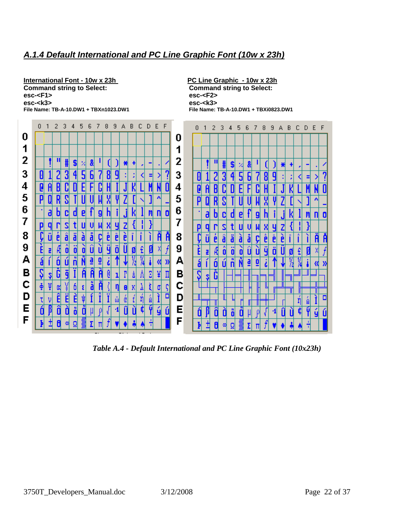#### <span id="page-21-1"></span><span id="page-21-0"></span>*A.1.4 Default International and PC Line Graphic Font (10w x 23h)*

**International Font - 10w x 23h**<br> **Command string to Select:**<br> **Command string to Select:**<br> **Command string to Select: esc-<F1> esc-<F2> esc-<k3> esc-<k3> File Name: TB-A-10.DW1 + TBXn1023.DW1 File Name: TB-A-10.DW1 + TBXi0823.DW1** 

**Command string to Select:** 



*Table A.4 - Default International and PC Line Graphic Font (10x23h)*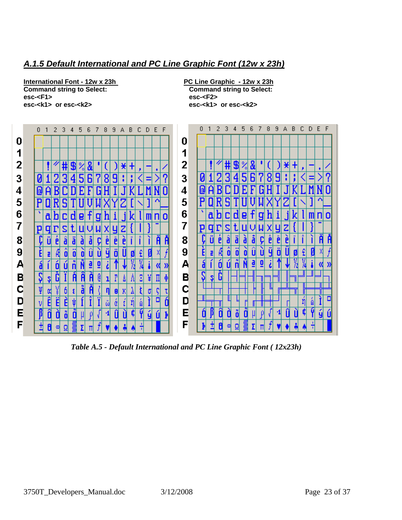#### <span id="page-22-1"></span><span id="page-22-0"></span>*A.1.5 Default International and PC Line Graphic Font (12w x 23h)*

**International Font - 12w x 23h PC Line Graphic - 12w x 23h Command string to Select: Command string to Select: esc-<F1> esc-<F2>** 

**esc-<k1> or esc-<k2> esc-<k1> or esc-<k2>** 



*Table A.5 - Default International and PC Line Graphic Font ( 12x23h)*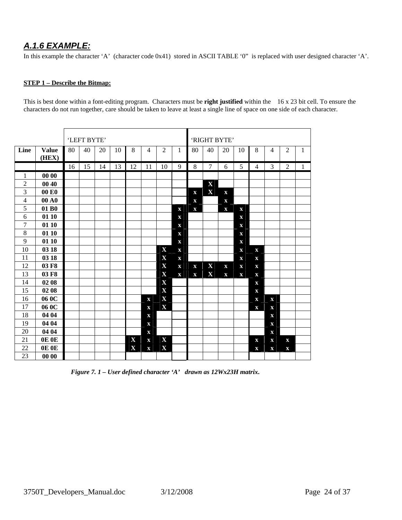## <span id="page-23-1"></span><span id="page-23-0"></span>*A.1.6 EXAMPLE:*

In this example the character 'A' (character code 0x41) stored in ASCII TABLE '0" is replaced with user designed character 'A'.

#### **STEP 1 – Describe the Bitmap:**

This is best done within a font-editing program. Characters must be **right justified** within the 16 x 23 bit cell. To ensure the characters do not run together, care should be taken to leave at least a single line of space on one side of each character.

|                |                       |    | 'LEFT BYTE' |    |    |                         |                |                |             |             |                | 'RIGHT BYTE' |                         |                |                |                |              |
|----------------|-----------------------|----|-------------|----|----|-------------------------|----------------|----------------|-------------|-------------|----------------|--------------|-------------------------|----------------|----------------|----------------|--------------|
| Line           | <b>Value</b><br>(HEX) | 80 | 40          | 20 | 10 | 8                       | $\overline{4}$ | $\overline{2}$ | 1           | 80          | 40             | 20           | 10                      | 8              | $\overline{4}$ | $\overline{2}$ | 1            |
|                |                       | 16 | 15          | 14 | 13 | 12                      | 11             | 10             | 9           | 8           | $\overline{7}$ | 6            | 5                       | $\overline{4}$ | 3              | $\overline{2}$ | $\mathbf{1}$ |
| 1              | 00 00                 |    |             |    |    |                         |                |                |             |             |                |              |                         |                |                |                |              |
| $\overline{2}$ | 00 40                 |    |             |    |    |                         |                |                |             |             | X              |              |                         |                |                |                |              |
| 3              | 00 E <sub>0</sub>     |    |             |    |    |                         |                |                |             | $\mathbf X$ | $\mathbf X$    | $\mathbf X$  |                         |                |                |                |              |
| $\overline{4}$ | 00 A <sub>0</sub>     |    |             |    |    |                         |                |                |             | $\mathbf X$ |                | $\mathbf X$  |                         |                |                |                |              |
| 5              | 01 B <sub>0</sub>     |    |             |    |    |                         |                |                | $\mathbf X$ | $\mathbf X$ |                | $\mathbf X$  | $\mathbf X$             |                |                |                |              |
| 6              | 01 10                 |    |             |    |    |                         |                |                | $\mathbf X$ |             |                |              | $\mathbf x$             |                |                |                |              |
| $\overline{7}$ | 01 10                 |    |             |    |    |                         |                |                | $\mathbf X$ |             |                |              | $\mathbf X$             |                |                |                |              |
| $\,8\,$        | 01 10                 |    |             |    |    |                         |                |                | $\mathbf X$ |             |                |              | $\mathbf X$             |                |                |                |              |
| 9              | 01 10                 |    |             |    |    |                         |                |                | $\mathbf X$ |             |                |              | $\mathbf X$             |                |                |                |              |
| 10             | 03 18                 |    |             |    |    |                         |                | $\bf{X}$       | $\mathbf X$ |             |                |              | $\mathbf X$             | $\mathbf X$    |                |                |              |
| 11             | 03 18                 |    |             |    |    |                         |                | X              | $\mathbf X$ |             |                |              | $\overline{\mathbf{X}}$ | $\mathbf X$    |                |                |              |
| 12             | 03 F8                 |    |             |    |    |                         |                | $\bf{X}$       | $\mathbf X$ | $\mathbf X$ | X              | $\mathbf{x}$ | $\mathbf X$             | $\mathbf X$    |                |                |              |
| 13             | 03 F8                 |    |             |    |    |                         |                | X              | $\mathbf X$ | $\mathbf X$ | $\mathbf X$    | $\mathbf X$  | $\mathbf X$             | $\mathbf X$    |                |                |              |
| 14             | 02 08                 |    |             |    |    |                         |                | X              |             |             |                |              |                         | $\mathbf x$    |                |                |              |
| 15             | 02 08                 |    |             |    |    |                         |                | $\mathbf X$    |             |             |                |              |                         | $\mathbf X$    |                |                |              |
| 16             | 06 OC                 |    |             |    |    |                         | $\mathbf X$    | X              |             |             |                |              |                         | $\mathbf X$    | X              |                |              |
| 17             | 06 OC                 |    |             |    |    |                         | $\mathbf X$    | X              |             |             |                |              |                         | $\mathbf{x}$   | $\bf{X}$       |                |              |
| 18             | 04 04                 |    |             |    |    |                         | $\mathbf X$    |                |             |             |                |              |                         |                | X              |                |              |
| 19             | 04 04                 |    |             |    |    |                         | $\mathbf X$    |                |             |             |                |              |                         |                | $\mathbf{X}$   |                |              |
| 20             | 04 04                 |    |             |    |    |                         | $\mathbf X$    |                |             |             |                |              |                         |                | X              |                |              |
| 21             | OE OE                 |    |             |    |    | $\overline{\mathbf{X}}$ | $\mathbf X$    | X              |             |             |                |              |                         | $\mathbf{x}$   | $\mathbf X$    | $\mathbf X$    |              |
| 22             | OE OE                 |    |             |    |    | X                       | $\mathbf X$    | X              |             |             |                |              |                         | $\mathbf X$    | $\mathbf X$    | $\mathbf x$    |              |
| 23             | 00 00                 |    |             |    |    |                         |                |                |             |             |                |              |                         |                |                |                |              |

*Figure 7. 1 – User defined character 'A' drawn as 12Wx23H matrix***.**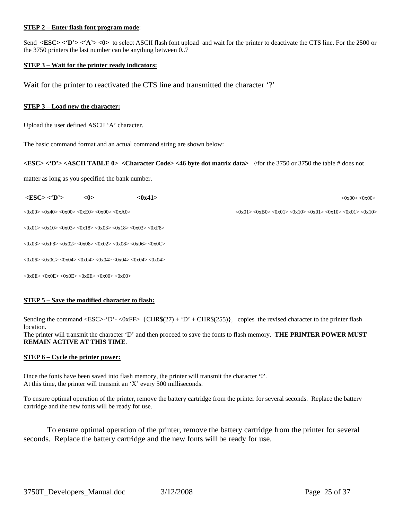#### **STEP 2 – Enter flash font program mode**:

Send <ESC> <'D'> <'A'> <0> to select ASCII flash font upload and wait for the printer to deactivate the CTS line. For the 2500 or the 3750 printers the last number can be anything between 0..7

#### **STEP 3 – Wait for the printer ready indicators:**

Wait for the printer to reactivated the CTS line and transmitted the character '?'

#### **STEP 3 – Load new the character:**

Upload the user defined ASCII 'A' character.

The basic command format and an actual command string are shown below:

#### **<ESC> <'D'> <ASCII TABLE 0> <Character Code> <46 byte dot matrix data>** //for the 3750 or 3750 the table # does not

matter as long as you specified the bank number.

| $<$ ESC> $<$ D'>                                                                                                                                                          | <0> | < 0x41 | <0x00<0x00>                                                                                                                                                               |
|---------------------------------------------------------------------------------------------------------------------------------------------------------------------------|-----|--------|---------------------------------------------------------------------------------------------------------------------------------------------------------------------------|
| $<0x00>$ $<0x40>$ $<0x00>$ $<0xE0>$ $<0x00>$ $<0xA0>$                                                                                                                     |     |        | $\langle 0x01 \rangle \langle 0xB0 \rangle \langle 0x01 \rangle \langle 0x10 \rangle \langle 0x01 \rangle \langle 0x10 \rangle \langle 0x01 \rangle \langle 0x01 \rangle$ |
| $\langle 0x01 \rangle \langle 0x10 \rangle \langle 0x03 \rangle \langle 0x18 \rangle \langle 0x03 \rangle \langle 0x18 \rangle \langle 0x03 \rangle \langle 0xF8 \rangle$ |     |        |                                                                                                                                                                           |

 $<$ 0x03> $<$ 0xF8> $<$ 0x02> $<$ 0x08> $<$ 0x02> $<$ 0x08> $<$ 0x06> $<$ 0x0C>

 $<$ 0x06 $>$  $<$ 0x0C $>$  $<$ 0x04 $>$  $<$ 0x04 $>$  $<$ 0x04 $>$  $<$ 0x04 $>$  $<$ 0x04 $>$  $<$ 0x04 $>$ 

 $<0x0E> <0x0E> <0x0E> <0x0E> <0x00> <0x00>$ 

#### **STEP 5 – Save the modified character to flash:**

Sending the command  $\langle ESC>-D' - \langle OxFF \rangle \{CHR\$(27) + 'D' + CHR\$(255) \}$ , copies the revised character to the printer flash location.

The printer will transmit the character 'D' and then proceed to save the fonts to flash memory. **THE PRINTER POWER MUST REMAIN ACTIVE AT THIS TIME**.

#### **STEP 6 – Cycle the printer power:**

Once the fonts have been saved into flash memory, the printer will transmit the character **'!'**. At this time, the printer will transmit an 'X' every 500 milliseconds.

To ensure optimal operation of the printer, remove the battery cartridge from the printer for several seconds. Replace the battery cartridge and the new fonts will be ready for use.

To ensure optimal operation of the printer, remove the battery cartridge from the printer for several seconds. Replace the battery cartridge and the new fonts will be ready for use.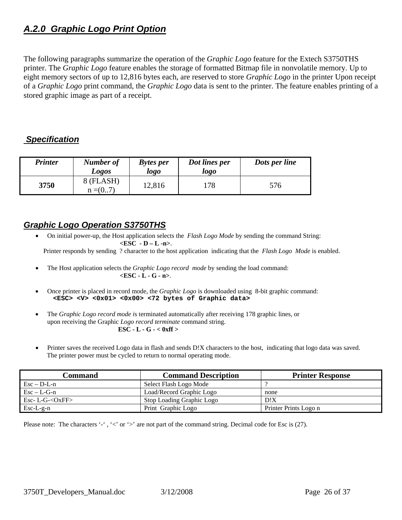# <span id="page-25-1"></span><span id="page-25-0"></span>*A.2.0 Graphic Logo Print Option*

The following paragraphs summarize the operation of the *Graphic Logo* feature for the Extech S3750THS printer. The *Graphic Logo* feature enables the storage of formatted Bitmap file in nonvolatile memory. Up to eight memory sectors of up to 12,816 bytes each, are reserved to store *Graphic Logo* in the printer Upon receipt of a *Graphic Logo* print command, the *Graphic Logo* data is sent to the printer. The feature enables printing of a stored graphic image as part of a receipt.

#### <span id="page-25-2"></span> *Specification*

| <b>Printer</b> | Number of<br>Logos    | Dot lines per<br><b>Bytes per</b><br>logo<br>logo |     | Dots per line |
|----------------|-----------------------|---------------------------------------------------|-----|---------------|
| 3750           | 8 (FLASH)<br>$n = (0$ | 12,816                                            | 178 | 576           |

#### <span id="page-25-3"></span>*Graphic Logo Operation S3750THS*

- On initial power-up, the Host application selects the *Flash Logo Mode* by sending the command String: **<ESC - D – L -n>**. Printer responds by sending ? character to the host application indicating that the *Flash Logo Mode* is enabled.
- The Host application selects the *Graphic Logo record mode* by sending the load command: **<ESC - L - G - n>**.
- Once printer is placed in record mode, the *Graphic Logo* is downloaded using 8-bit graphic command: **<ESC> <V> <0x01> <0x00> <72 bytes of Graphic data>**
- The *Graphic Logo record mode i*s terminated automatically after receiving 178 graphic lines, or upon receiving the Graphic *Logo record terminate* command string.  **ESC - L - G - < 0xff >**
- Printer saves the received Logo data in flash and sends D!X characters to the host, indicating that logo data was saved. The printer power must be cycled to return to normal operating mode.

| Command                                              | <b>Command Description</b> | <b>Printer Response</b> |
|------------------------------------------------------|----------------------------|-------------------------|
| $\text{Esc} - \text{D-L-n}$                          | Select Flash Logo Mode     |                         |
| $\operatorname{Esc} - \operatorname{L-G-n}$          | Load/Record Graphic Logo   | none                    |
| $\text{Esc-}\ \text{L-G}\text{-}\text{OxFF}\text{>}$ | Stop Loading Graphic Logo  | D!X                     |
| $Esc-L-g-n$                                          | Print Graphic Logo         | Printer Prints Logo n   |

Please note: The characters '-', '<' or '>' are not part of the command string. Decimal code for Esc is (27).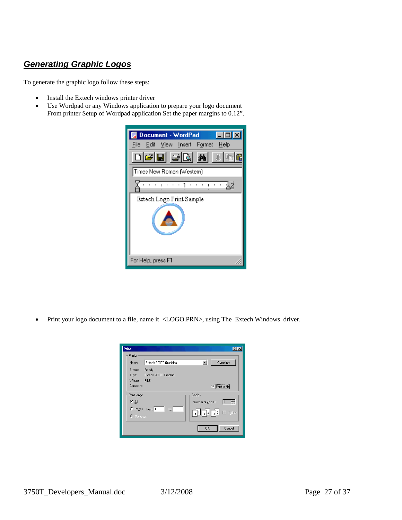## <span id="page-26-1"></span><span id="page-26-0"></span>*Generating Graphic Logos*

To generate the graphic logo follow these steps:

- Install the Extech windows printer driver
- Use Wordpad or any Windows application to prepare your logo document From printer Setup of Wordpad application Set the paper margins to 0.12".

| Document - WordPad                |
|-----------------------------------|
| File Edit View Insert Format Help |
| る障                                |
| Times New Roman (Western)         |
|                                   |
| Extech Logo Print Sample          |
|                                   |
| For Help, press F1                |

• Print your logo document to a file, name it <LOGO.PRN>, using The Extech Windows driver.

| Print                          | 7                      |
|--------------------------------|------------------------|
| Printer                        |                        |
| Extech 2000T Graphics<br>Name: | Properties             |
| Status:<br>Ready               |                        |
| Type:<br>Extech 2000T Graphics |                        |
| Where: FILE:                   |                        |
| Comment:                       | $\nabla$ Print to file |
| Print range                    | Copies                 |
| $G$ All                        | ÷<br>Number of copies: |
| C Pages from: 1<br>to:         |                        |
| <b>O</b> Selection             | $\Box$ Collate         |
|                                |                        |
|                                | Cancel<br>0K           |
|                                |                        |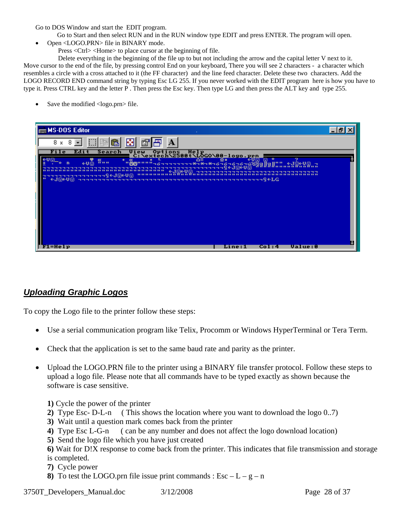<span id="page-27-0"></span>Go to DOS Window and start the EDIT program.

Go to Start and then select RUN and in the RUN window type EDIT and press ENTER. The program will open.

- Open <LOGO.PRN> file in BINARY mode.
	- Press <Ctrl> <Home> to place cursor at the beginning of file.

 Delete everything in the beginning of the file up to but not including the arrow and the capital letter V next to it. Move cursor to the end of the file, by pressing control End on your keyboard, There you will see 2 characters - a character which resembles a circle with a cross attached to it (the FF character) and the line feed character. Delete these two characters. Add the LOGO RECORD END command string by typing Esc LG 255. If you never worked with the EDIT program here is how you have to type it. Press CTRL key and the letter P . Then press the Esc key. Then type LG and then press the ALT key and type 255.

Save the modified <logo.prn> file.

| $\mathsf{l}$ and MS-DOS Editor<br>$\sim$         | 니션 |
|--------------------------------------------------|----|
| 碀<br>龟<br>$\mathbf A$<br>8 x<br>8<br>ß           |    |
| File<br>Edi t<br>Search<br>∻∪ଭ                   |    |
| "B8""""<br>ii u u<br>←U回<br>n<br>∍               |    |
| ․୧←J©←Ս©<br>←J@←V@<br>---------------            |    |
|                                                  |    |
|                                                  |    |
|                                                  |    |
|                                                  |    |
| $F1 = He1p$<br><b>Value:0</b><br>Line:1<br>Col:4 |    |

#### <span id="page-27-1"></span>*Uploading Graphic Logos*

To copy the Logo file to the printer follow these steps:

- Use a serial communication program like Telix, Procomm or Windows HyperTerminal or Tera Term.
- Check that the application is set to the same baud rate and parity as the printer.
- Upload the LOGO.PRN file to the printer using a BINARY file transfer protocol. Follow these steps to upload a logo file. Please note that all commands have to be typed exactly as shown because the software is case sensitive.

**1)** Cycle the power of the printer

- **2)** Type Esc- D-L-n ( This shows the location where you want to download the logo 0..7)
- **3)** Wait until a question mark comes back from the printer
- **4)** Type Esc L-G-n ( can be any number and does not affect the logo download location)
- **5)** Send the logo file which you have just created

**6)** Wait for D!X response to come back from the printer. This indicates that file transmission and storage is completed.

- **7)** Cycle power
- **8)** To test the LOGO.prn file issue print commands :  $\text{Esc} \text{L} \text{g} \text{n}$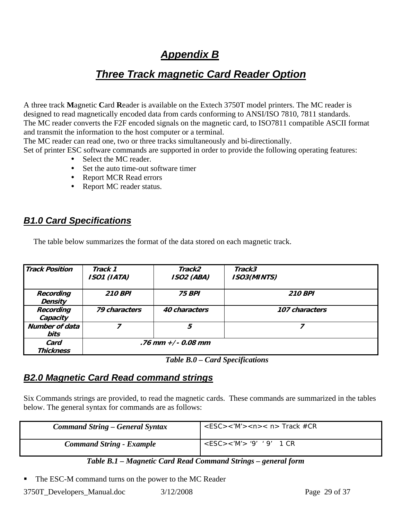# *Appendix B*

# *Three Track magnetic Card Reader Option*

<span id="page-28-2"></span><span id="page-28-1"></span><span id="page-28-0"></span>A three track **M**agnetic **C**ard **R**eader is available on the Extech 3750T model printers. The MC reader is designed to read magnetically encoded data from cards conforming to ANSI/ISO 7810, 7811 standards. The MC reader converts the F2F encoded signals on the magnetic card, to ISO7811 compatible ASCII format and transmit the information to the host computer or a terminal.

The MC reader can read one, two or three tracks simultaneously and bi-directionally.

Set of printer ESC software commands are supported in order to provide the following operating features: • Select the MC reader.

- 
- Set the auto time-out software timer
- Report MCR Read errors
- Report MC reader status.

## <span id="page-28-3"></span>*B1.0 Card Specifications*

The table below summarizes the format of the data stored on each magnetic track.

| <b>Track Position</b>         | Track 1<br>ISO1 (IATA) | Track2<br><b>ISO2 (ABA)</b> | Track3<br><b>ISO3(MINTS)</b> |
|-------------------------------|------------------------|-----------------------------|------------------------------|
| Recording<br><b>Density</b>   | <b>210 BPI</b>         | 75 BPI                      | <b>210 BPI</b>               |
| Recording<br>Capacity         | 79 characters          | 40 characters               | 107 characters               |
| <b>Number of data</b><br>bits |                        | 5                           |                              |
| Card<br>Thickness             |                        | $.76$ mm $+/$ - 0.08 mm     |                              |

*Table B.0 – Card Specifications* 

#### <span id="page-28-4"></span>*B2.0 Magnetic Card Read command strings*

Six Commands strings are provided, to read the magnetic cards. These commands are summarized in the tables below. The general syntax for commands are as follows:

| <b>Command String – General Syntax</b> | $<$ ESC><'M'> <n>&lt; n&gt; Track #CR</n> |
|----------------------------------------|-------------------------------------------|
| <b>Command String - Example</b>        | $<$ ESC> $<$ 'M'> '9' '9' 1 CR            |

#### *Table B.1 – Magnetic Card Read Command Strings – general form*

The ESC-M command turns on the power to the MC Reader

 $3750T$  Developers Manual.doc  $3/12/2008$  Page 29 of 37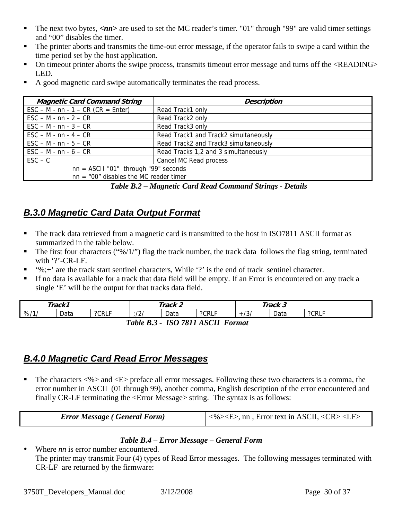- <span id="page-29-0"></span>The next two bytes,  $\langle nn \rangle$  are used to set the MC reader's timer. "01" through "99" are valid timer settings and "00" disables the timer.
- The printer aborts and transmits the time-out error message, if the operator fails to swipe a card within the time period set by the host application.
- On timeout printer aborts the swipe process, transmits timeout error message and turns off the <READING> LED.
- A good magnetic card swipe automatically terminates the read process.

| <b>Magnetic Card Command String</b>                                          | <b>Description</b>                    |  |
|------------------------------------------------------------------------------|---------------------------------------|--|
| $\text{ESC} - \text{M} - \text{nn} - 1 - \text{CR}$ (CR = Enter)             | Read Track1 only                      |  |
| $\textsf{ESC} - \textsf{M} \cdot \textsf{nn} \cdot 2 - \textsf{CR}$          | Read Track2 only                      |  |
| $\textsf{ESC} - \textsf{M} \cdot \textsf{nn} \cdot 3 - \textsf{CR}$          | Read Track3 only                      |  |
| $\textsf{ESC} - \textsf{M} \cdot \textsf{nn} \cdot 4 - \textsf{CR}$          | Read Track1 and Track2 simultaneously |  |
| $\textsf{ESC} - \textsf{M} \cdot \textsf{nn} \cdot 5 - \textsf{CR}$          | Read Track2 and Track3 simultaneously |  |
| $\textsf{ESC} - \textsf{M} \cdot \textsf{nn} \cdot \textsf{6} - \textsf{CR}$ | Read Tracks 1,2 and 3 simultaneously  |  |
| $\mathsf{ESC} - \mathsf{C}$                                                  | Cancel MC Read process                |  |
| $nn = ASCII "01"$ through "99" seconds                                       |                                       |  |
| $nn = "00"$ disables the MC reader timer                                     |                                       |  |

*Table B.2 – Magnetic Card Read Command Strings - Details* 

# <span id="page-29-1"></span>*B.3.0 Magnetic Card Data Output Format*

- The track data retrieved from a magnetic card is transmitted to the host in ISO7811 ASCII format as summarized in the table below.
- The first four characters ("%/1/") flag the track number, the track data follows the flag string, terminated with '?'-CR-LF.
- '%;+' are the track start sentinel characters, While '?' is the end of track sentinel character.
- If no data is available for a track that data field will be empty. If an Error is encountered on any track a single 'E' will be the output for that tracks data field.

|                                                                                             | Track1 |       |     | Track 2 |       |                  | Track 3 |       |
|---------------------------------------------------------------------------------------------|--------|-------|-----|---------|-------|------------------|---------|-------|
| %11                                                                                         | Data   | ?CRLF | /2/ | Data    | ?CRLF | $\sim$<br>$+131$ | Data    | ?CRLF |
| $\Lambda$ C $\Gamma$ II<br>ICO 7911<br>$T_ahlo$<br>$\Gamma_{\alpha mnat}$<br>D <sub>2</sub> |        |       |     |         |       |                  |         |       |

*Table B.3 - ISO 7811 ASCII Format* 

# <span id="page-29-2"></span>*B.4.0 Magnetic Card Read Error Messages*

The characters  $\ll\!\!\!\!\!\sim\gg$  and  $\ll\!\!\!\!\!\sim$  preface all error messages. Following these two characters is a comma, the error number in ASCII (01 through 99), another comma, English description of the error encountered and finally CR-LF terminating the <Error Message> string. The syntax is as follows:

| <b>Error Message (General Form)</b> | $\vert \langle \frac{\pi}{2} \rangle \langle \langle \rangle$ < E>, nn, Error text in ASCII, $\langle \langle \rangle \langle \rangle \langle \rangle$ |
|-------------------------------------|--------------------------------------------------------------------------------------------------------------------------------------------------------|

#### *Table B.4 – Error Message – General Form*

• Where *nn* is error number encountered. The printer may transmit Four (4) types of Read Error messages. The following messages terminated with CR-LF are returned by the firmware: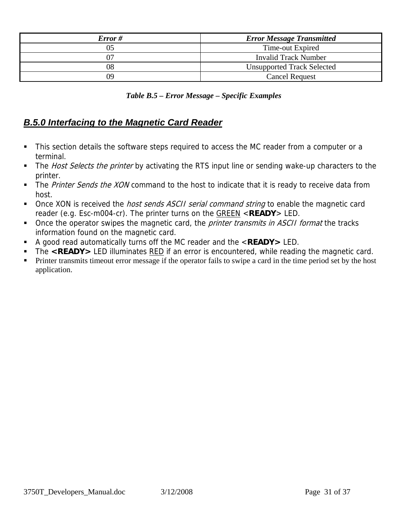<span id="page-30-0"></span>

| Error#           | <b>Error Message Transmitted</b>  |  |  |
|------------------|-----------------------------------|--|--|
| Time-out Expired |                                   |  |  |
|                  | <b>Invalid Track Number</b>       |  |  |
| 08               | <b>Unsupported Track Selected</b> |  |  |
| 09               | <b>Cancel Request</b>             |  |  |

 *Table B.5 – Error Message – Specific Examples* 

# <span id="page-30-1"></span>*B.5.0 Interfacing to the Magnetic Card Reader*

- This section details the software steps required to access the MC reader from a computer or a terminal.
- The Host Selects the printer by activating the RTS input line or sending wake-up characters to the printer.
- The Printer Sends the XON command to the host to indicate that it is ready to receive data from host.
- Once XON is received the *host sends ASCII serial command string* to enable the magnetic card reader (e.g. Esc-m004-cr). The printer turns on the GREEN <**READY**> LED.
- Once the operator swipes the magnetic card, the *printer transmits in ASCII format* the tracks information found on the magnetic card.
- A good read automatically turns off the MC reader and the <**READY>** LED.
- The <READY> LED illuminates RED if an error is encountered, while reading the magnetic card.
- **Printer transmits timeout error message if the operator fails to swipe a card in the time period set by the host** application.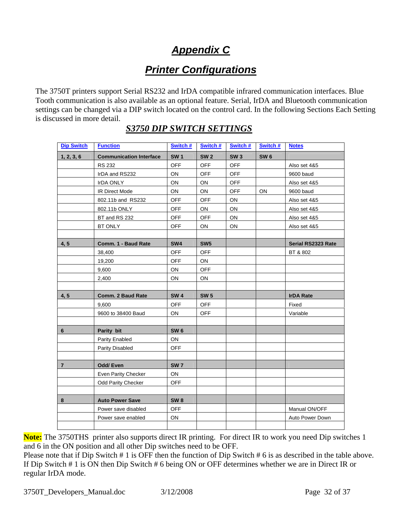# *Appendix C*

# *Printer Configurations*

<span id="page-31-2"></span><span id="page-31-1"></span><span id="page-31-0"></span>The 3750T printers support Serial RS232 and IrDA compatible infrared communication interfaces. Blue Tooth communication is also available as an optional feature. Serial, IrDA and Bluetooth communication settings can be changed via a DIP switch located on the control card. In the following Sections Each Setting is discussed in more detail.

| <b>Dip Switch</b> | <b>Function</b>                | Switch #        | Switch #        | Switch #   | Switch #   | <b>Notes</b>       |
|-------------------|--------------------------------|-----------------|-----------------|------------|------------|--------------------|
| 1, 2, 3, 6        | <b>Communication Interface</b> | <b>SW1</b>      | <b>SW2</b>      | <b>SW3</b> | <b>SW6</b> |                    |
|                   | <b>RS 232</b>                  | <b>OFF</b>      | <b>OFF</b>      | <b>OFF</b> |            | Also set 4&5       |
|                   | IrDA and RS232                 | ON              | OFF             | <b>OFF</b> |            | 9600 baud          |
|                   | <b>IrDA ONLY</b>               | ON.             | ON.             | <b>OFF</b> |            | Also set 4&5       |
|                   | <b>IR Direct Mode</b>          | <b>ON</b>       | ON.             | <b>OFF</b> | ON         | 9600 baud          |
|                   | 802.11b and RS232              | <b>OFF</b>      | <b>OFF</b>      | ON         |            | Also set 4&5       |
|                   | 802.11b ONLY                   | <b>OFF</b>      | ON              | ON         |            | Also set 4&5       |
|                   | BT and RS 232                  | <b>OFF</b>      | <b>OFF</b>      | ON         |            | Also set 4&5       |
|                   | BT ONLY                        | <b>OFF</b>      | ON              | ON         |            | Also set 4&5       |
|                   |                                |                 |                 |            |            |                    |
| 4, 5              | Comm. 1 - Baud Rate            | SW4             | SW <sub>5</sub> |            |            | Serial RS2323 Rate |
|                   | 38,400                         | <b>OFF</b>      | <b>OFF</b>      |            |            | BT & 802           |
|                   | 19,200                         | <b>OFF</b>      | ON              |            |            |                    |
|                   | 9,600                          | ON              | <b>OFF</b>      |            |            |                    |
|                   | 2,400                          | ON              | ON              |            |            |                    |
|                   |                                |                 |                 |            |            |                    |
| 4, 5              | Comm. 2 Baud Rate              | <b>SW4</b>      | <b>SW 5</b>     |            |            | <b>IrDA Rate</b>   |
|                   | 9,600                          | <b>OFF</b>      | <b>OFF</b>      |            |            | Fixed              |
|                   | 9600 to 38400 Baud             | ON              | <b>OFF</b>      |            |            | Variable           |
|                   |                                |                 |                 |            |            |                    |
| 6                 | Parity bit                     | <b>SW6</b>      |                 |            |            |                    |
|                   | Parity Enabled                 | ON              |                 |            |            |                    |
|                   | Parity Disabled                | <b>OFF</b>      |                 |            |            |                    |
|                   |                                |                 |                 |            |            |                    |
| $\overline{7}$    | <b>Odd/Even</b>                | <b>SW7</b>      |                 |            |            |                    |
|                   | <b>Even Parity Checker</b>     | ON              |                 |            |            |                    |
|                   | <b>Odd Parity Checker</b>      | <b>OFF</b>      |                 |            |            |                    |
|                   |                                |                 |                 |            |            |                    |
| 8                 | <b>Auto Power Save</b>         | SW <sub>8</sub> |                 |            |            |                    |
|                   | Power save disabled            | <b>OFF</b>      |                 |            |            | Manual ON/OFF      |
|                   | Power save enabled             | ON              |                 |            |            | Auto Power Down    |
|                   |                                |                 |                 |            |            |                    |

## *S3750 DIP SWITCH SETTINGS*

**Note:** The 3750THS printer also supports direct IR printing. For direct IR to work you need Dip switches 1 and 6 in the ON position and all other Dip switches need to be OFF.

Please note that if Dip Switch # 1 is OFF then the function of Dip Switch # 6 is as described in the table above. If Dip Switch # 1 is ON then Dip Switch # 6 being ON or OFF determines whether we are in Direct IR or regular IrDA mode.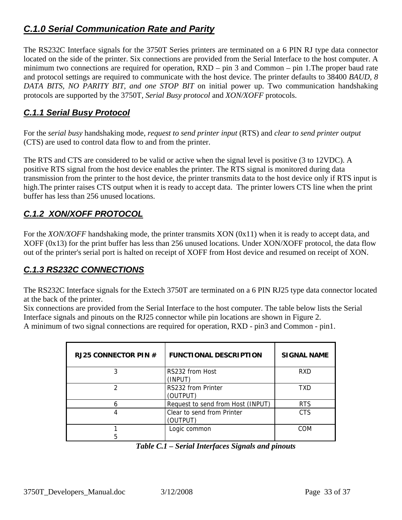# <span id="page-32-1"></span><span id="page-32-0"></span>*C.1.0 Serial Communication Rate and Parity*

The RS232C Interface signals for the 3750T Series printers are terminated on a 6 PIN RJ type data connector located on the side of the printer. Six connections are provided from the Serial Interface to the host computer. A minimum two connections are required for operation, RXD – pin 3 and Common – pin 1.The proper baud rate and protocol settings are required to communicate with the host device. The printer defaults to 38400 *BAUD, 8 DATA BITS, NO PARITY BIT, and one STOP BIT* on initial power up. Two communication handshaking protocols are supported by the 3750T, *Serial Busy protocol* and *XON/XOFF* protocols.

#### <span id="page-32-2"></span>*C.1.1 Serial Busy Protocol*

For the *serial busy* handshaking mode, *request to send printer input* (RTS) and *clear to send printer output* (CTS) are used to control data flow to and from the printer.

The RTS and CTS are considered to be valid or active when the signal level is positive (3 to 12VDC). A positive RTS signal from the host device enables the printer. The RTS signal is monitored during data transmission from the printer to the host device, the printer transmits data to the host device only if RTS input is high.The printer raises CTS output when it is ready to accept data. The printer lowers CTS line when the print buffer has less than 256 unused locations.

## <span id="page-32-3"></span>*C.1.2 XON/XOFF PROTOCOL*

For the *XON/XOFF* handshaking mode, the printer transmits XON (0x11) when it is ready to accept data, and XOFF (0x13) for the print buffer has less than 256 unused locations. Under XON/XOFF protocol, the data flow out of the printer's serial port is halted on receipt of XOFF from Host device and resumed on receipt of XON.

## <span id="page-32-4"></span>*C.1.3 RS232C CONNECTIONS*

The RS232C Interface signals for the Extech 3750T are terminated on a 6 PIN RJ25 type data connector located at the back of the printer.

Six connections are provided from the Serial Interface to the host computer. The table below lists the Serial Interface signals and pinouts on the RJ25 connector while pin locations are shown in Figure 2.

A minimum of two signal connections are required for operation, RXD - pin3 and Common - pin1.

| RJ25 CONNECTOR PIN $#$ | <b>FUNCTIONAL DESCRIPTION</b>          | <b>SIGNAL NAME</b> |
|------------------------|----------------------------------------|--------------------|
|                        | RS232 from Host<br>(INPUT)             | <b>RXD</b>         |
|                        | RS232 from Printer<br>(OUTPUT)         | TXD                |
|                        | Request to send from Host (INPUT)      | <b>RTS</b>         |
|                        | Clear to send from Printer<br>(OUTPUT) | <b>CTS</b>         |
|                        | Logic common                           | COM                |

*Table C.1 – Serial Interfaces Signals and pinouts*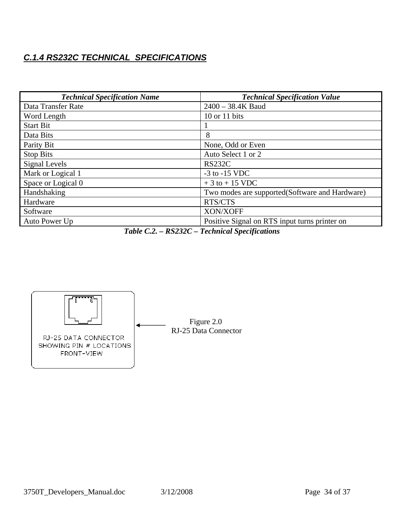## <span id="page-33-1"></span><span id="page-33-0"></span>*C.1.4 RS232C TECHNICAL SPECIFICATIONS*

| <b>Technical Specification Name</b> | <b>Technical Specification Value</b>           |
|-------------------------------------|------------------------------------------------|
| Data Transfer Rate                  | $2400 - 38.4K$ Baud                            |
| Word Length                         | 10 or 11 bits                                  |
| <b>Start Bit</b>                    |                                                |
| Data Bits                           | 8                                              |
| Parity Bit                          | None, Odd or Even                              |
| <b>Stop Bits</b>                    | Auto Select 1 or 2                             |
| Signal Levels                       | <b>RS232C</b>                                  |
| Mark or Logical 1                   | $-3$ to $-15$ VDC                              |
| Space or Logical 0                  | $+3$ to $+15$ VDC                              |
| Handshaking                         | Two modes are supported(Software and Hardware) |
| Hardware                            | RTS/CTS                                        |
| Software                            | XON/XOFF                                       |
| Auto Power Up                       | Positive Signal on RTS input turns printer on  |

*Table C.2. – RS232C – Technical Specifications* 

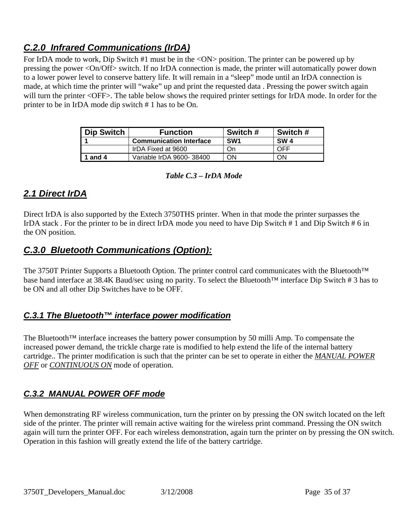# <span id="page-34-1"></span><span id="page-34-0"></span>*C.2.0 Infrared Communications (IrDA)*

For IrDA mode to work, Dip Switch #1 must be in the <ON> position. The printer can be powered up by pressing the power <On/Off> switch. If no IrDA connection is made, the printer will automatically power down to a lower power level to conserve battery life. It will remain in a "sleep" mode until an IrDA connection is made, at which time the printer will "wake" up and print the requested data . Pressing the power switch again will turn the printer <OFF>. The table below shows the required printer settings for IrDA mode. In order for the printer to be in IrDA mode dip switch # 1 has to be On.

| <b>Dip Switch</b> | <b>Function</b>                | Switch #        | Switch #   |
|-------------------|--------------------------------|-----------------|------------|
|                   | <b>Communication Interface</b> | SW <sub>1</sub> | <b>SW4</b> |
|                   | IrDA Fixed at 9600             | On              | OFF        |
| and 4             | Variable IrDA 9600-38400       | OΝ              | ΟN         |

#### *Table C.3 – IrDA Mode*

#### <span id="page-34-2"></span>*2.1 Direct IrDA*

Direct IrDA is also supported by the Extech 3750THS printer. When in that mode the printer surpasses the IrDA stack . For the printer to be in direct IrDA mode you need to have Dip Switch # 1 and Dip Switch # 6 in the ON position.

## <span id="page-34-3"></span>*C.3.0 Bluetooth Communications (Option):*

The 3750T Printer Supports a Bluetooth Option. The printer control card communicates with the Bluetooth™ base band interface at 38.4K Baud/sec using no parity. To select the Bluetooth™ interface Dip Switch # 3 has to be ON and all other Dip Switches have to be OFF.

#### <span id="page-34-4"></span>*C.3.1 The Bluetooth™ interface power modification*

The Bluetooth<sup>™</sup> interface increases the battery power consumption by 50 milli Amp. To compensate the increased power demand, the trickle charge rate is modified to help extend the life of the internal battery cartridge.. The printer modification is such that the printer can be set to operate in either the *MANUAL POWER OFF* or *CONTINUOUS ON* mode of operation.

#### <span id="page-34-5"></span>*C.3.2 MANUAL POWER OFF mode*

When demonstrating RF wireless communication, turn the printer on by pressing the ON switch located on the left side of the printer. The printer will remain active waiting for the wireless print command. Pressing the ON switch again will turn the printer OFF. For each wireless demonstration, again turn the printer on by pressing the ON switch. Operation in this fashion will greatly extend the life of the battery cartridge.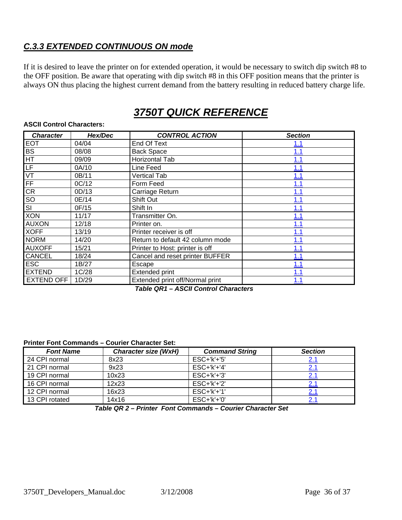## <span id="page-35-1"></span><span id="page-35-0"></span>*C.3.3 EXTENDED CONTINUOUS ON mode*

If it is desired to leave the printer on for extended operation, it would be necessary to switch dip switch #8 to the OFF position. Be aware that operating with dip switch #8 in this OFF position means that the printer is always ON thus placing the highest current demand from the battery resulting in reduced battery charge life.

# *3750T QUICK REFERENCE*

| <b>Character</b>         | Hex/Dec | <b>CONTROL ACTION</b>                                          | <b>Section</b> |
|--------------------------|---------|----------------------------------------------------------------|----------------|
| <b>EOT</b>               | 04/04   | End Of Text                                                    | 1.1            |
| <b>BS</b>                | 08/08   | <b>Back Space</b>                                              | <u>1.1</u>     |
| $\overline{\mathsf{HT}}$ | 09/09   | Horizontal Tab                                                 | 1.1            |
| LF                       | 0A/10   | Line Feed                                                      | 1.1            |
| VT                       | 0B/11   | <b>Vertical Tab</b>                                            | 1.1            |
| FF                       | OC/12   | Form Feed                                                      | 1.1            |
| CR                       | 0D/13   | Carriage Return                                                | 1.1            |
| $rac{SO}{SI}$            | 0E/14   | Shift Out                                                      | 1.1            |
|                          | 0F/15   | Shift In                                                       | 1.1            |
| <b>XON</b>               | 11/17   | Transmitter On.                                                | 1.1            |
| <b>AUXON</b>             | 12/18   | Printer on.                                                    | 1.1            |
| <b>XOFF</b>              | 13/19   | Printer receiver is off                                        | 1.1            |
| <b>NORM</b>              | 14/20   | Return to default 42 column mode                               | 1.1            |
| <b>AUXOFF</b>            | 15/21   | Printer to Host: printer is off                                | 1.1            |
| <b>CANCEL</b>            | 18/24   | Cancel and reset printer BUFFER                                | 1.1            |
| <b>ESC</b>               | 1B/27   | Escape                                                         | 1.1            |
| <b>EXTEND</b>            | 1C/28   | Extended print                                                 | 1.1            |
| <b>EXTEND OFF</b>        | 1D/29   | Extended print off/Normal print<br>_ , , _ , , , , , , , , , , | 1.1            |

#### <span id="page-35-2"></span>**ASCII Control Characters:**

 *Table QR1 – ASCII Control Characters* 

#### **Printer Font Commands – Courier Character Set:**

| <b>Font Name</b> | <b>Character size (WxH)</b> | <b>Command String</b> | <b>Section</b> |
|------------------|-----------------------------|-----------------------|----------------|
| 24 CPI normal    | 8x23                        | $ESC+'k'+'5'$         |                |
| 21 CPI normal    | 9x23                        | $ESC+'k'+'4'$         | 2.1            |
| 19 CPI normal    | 10x23                       | $ESC+'k'+'3'$         |                |
| 16 CPI normal    | 12x23                       | $ESC+'k'+'2'$         |                |
| 12 CPI normal    | 16x23                       | $ESC+'k'+'1'$         |                |
| 13 CPI rotated   | 14x16                       | $ESC+'k'+'0'$         |                |

*Table QR 2 – Printer Font Commands – Courier Character Set*